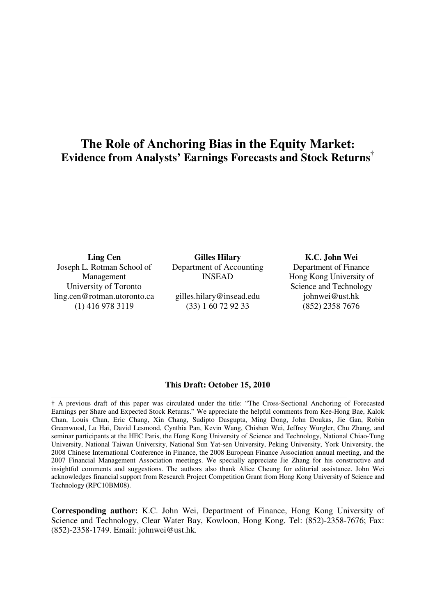# **The Role of Anchoring Bias in the Equity Market: Evidence from Analysts' Earnings Forecasts and Stock Returns†**

**Ling Cen**  Joseph L. Rotman School of Management University of Toronto ling.cen@rotman.utoronto.ca (1) 416 978 3119

**Gilles Hilary**  Department of Accounting INSEAD

gilles.hilary@insead.edu (33) 1 60 72 92 33

**K.C. John Wei**  Department of Finance Hong Kong University of Science and Technology johnwei@ust.hk (852) 2358 7676

#### **This Draft: October 15, 2010**

† A previous draft of this paper was circulated under the title: "The Cross-Sectional Anchoring of Forecasted Earnings per Share and Expected Stock Returns." We appreciate the helpful comments from Kee-Hong Bae, Kalok Chan, Louis Chan, Eric Chang, Xin Chang, Sudipto Dasgupta, Ming Dong, John Doukas, Jie Gan, Robin Greenwood, Lu Hai, David Lesmond, Cynthia Pan, Kevin Wang, Chishen Wei, Jeffrey Wurgler, Chu Zhang, and seminar participants at the HEC Paris, the Hong Kong University of Science and Technology, National Chiao-Tung University, National Taiwan University, National Sun Yat-sen University, Peking University, York University, the 2008 Chinese International Conference in Finance, the 2008 European Finance Association annual meeting, and the 2007 Financial Management Association meetings. We specially appreciate Jie Zhang for his constructive and insightful comments and suggestions. The authors also thank Alice Cheung for editorial assistance. John Wei acknowledges financial support from Research Project Competition Grant from Hong Kong University of Science and Technology (RPC10BM08).

**Corresponding author:** K.C. John Wei, Department of Finance, Hong Kong University of Science and Technology, Clear Water Bay, Kowloon, Hong Kong. Tel: (852)-2358-7676; Fax: (852)-2358-1749. Email: johnwei@ust.hk.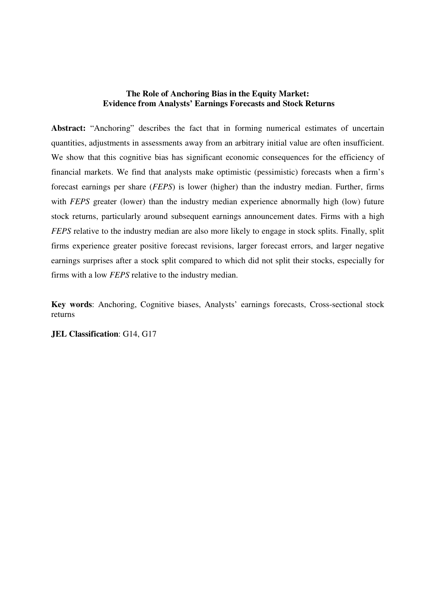# **The Role of Anchoring Bias in the Equity Market: Evidence from Analysts' Earnings Forecasts and Stock Returns**

**Abstract:** "Anchoring" describes the fact that in forming numerical estimates of uncertain quantities, adjustments in assessments away from an arbitrary initial value are often insufficient. We show that this cognitive bias has significant economic consequences for the efficiency of financial markets. We find that analysts make optimistic (pessimistic) forecasts when a firm's forecast earnings per share (*FEPS*) is lower (higher) than the industry median. Further, firms with *FEPS* greater (lower) than the industry median experience abnormally high (low) future stock returns, particularly around subsequent earnings announcement dates. Firms with a high *FEPS* relative to the industry median are also more likely to engage in stock splits. Finally, split firms experience greater positive forecast revisions, larger forecast errors, and larger negative earnings surprises after a stock split compared to which did not split their stocks, especially for firms with a low *FEPS* relative to the industry median.

**Key words**: Anchoring, Cognitive biases, Analysts' earnings forecasts, Cross-sectional stock returns

**JEL Classification**: G14, G17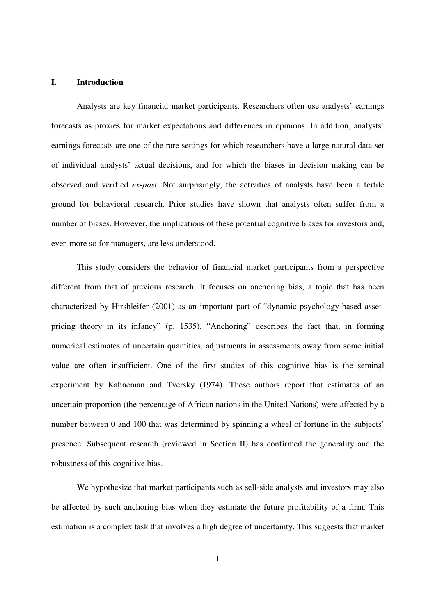# **I. Introduction**

Analysts are key financial market participants. Researchers often use analysts' earnings forecasts as proxies for market expectations and differences in opinions. In addition, analysts' earnings forecasts are one of the rare settings for which researchers have a large natural data set of individual analysts' actual decisions, and for which the biases in decision making can be observed and verified *ex-post*. Not surprisingly, the activities of analysts have been a fertile ground for behavioral research. Prior studies have shown that analysts often suffer from a number of biases. However, the implications of these potential cognitive biases for investors and, even more so for managers, are less understood.

This study considers the behavior of financial market participants from a perspective different from that of previous research. It focuses on anchoring bias, a topic that has been characterized by Hirshleifer (2001) as an important part of "dynamic psychology-based assetpricing theory in its infancy" (p. 1535). "Anchoring" describes the fact that, in forming numerical estimates of uncertain quantities, adjustments in assessments away from some initial value are often insufficient. One of the first studies of this cognitive bias is the seminal experiment by Kahneman and Tversky (1974). These authors report that estimates of an uncertain proportion (the percentage of African nations in the United Nations) were affected by a number between 0 and 100 that was determined by spinning a wheel of fortune in the subjects' presence. Subsequent research (reviewed in Section II) has confirmed the generality and the robustness of this cognitive bias.

We hypothesize that market participants such as sell-side analysts and investors may also be affected by such anchoring bias when they estimate the future profitability of a firm. This estimation is a complex task that involves a high degree of uncertainty. This suggests that market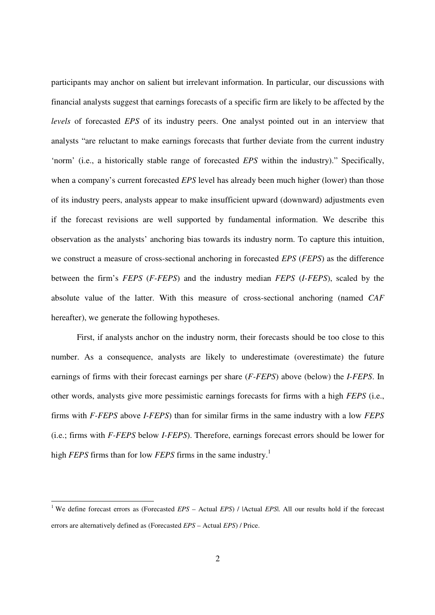participants may anchor on salient but irrelevant information. In particular, our discussions with financial analysts suggest that earnings forecasts of a specific firm are likely to be affected by the *levels* of forecasted *EPS* of its industry peers. One analyst pointed out in an interview that analysts "are reluctant to make earnings forecasts that further deviate from the current industry 'norm' (i.e., a historically stable range of forecasted *EPS* within the industry)." Specifically, when a company's current forecasted *EPS* level has already been much higher (lower) than those of its industry peers, analysts appear to make insufficient upward (downward) adjustments even if the forecast revisions are well supported by fundamental information. We describe this observation as the analysts' anchoring bias towards its industry norm. To capture this intuition, we construct a measure of cross-sectional anchoring in forecasted *EPS* (*FEPS*) as the difference between the firm's *FEPS* (*F-FEPS*) and the industry median *FEPS* (*I-FEPS*), scaled by the absolute value of the latter. With this measure of cross-sectional anchoring (named *CAF* hereafter), we generate the following hypotheses.

First, if analysts anchor on the industry norm, their forecasts should be too close to this number. As a consequence, analysts are likely to underestimate (overestimate) the future earnings of firms with their forecast earnings per share (*F-FEPS*) above (below) the *I*-*FEPS*. In other words, analysts give more pessimistic earnings forecasts for firms with a high *FEPS* (i.e., firms with *F-FEPS* above *I-FEPS*) than for similar firms in the same industry with a low *FEPS*  (i.e.; firms with *F-FEPS* below *I-FEPS*). Therefore, earnings forecast errors should be lower for high *FEPS* firms than for low *FEPS* firms in the same industry.<sup>1</sup>

-

<sup>&</sup>lt;sup>1</sup> We define forecast errors as (Forecasted *EPS* – Actual *EPS*) / |Actual *EPS*|. All our results hold if the forecast errors are alternatively defined as (Forecasted *EPS* – Actual *EPS*) / Price.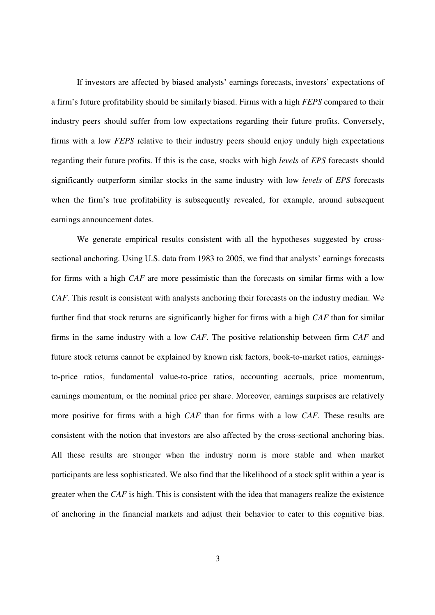If investors are affected by biased analysts' earnings forecasts, investors' expectations of a firm's future profitability should be similarly biased. Firms with a high *FEPS* compared to their industry peers should suffer from low expectations regarding their future profits. Conversely, firms with a low *FEPS* relative to their industry peers should enjoy unduly high expectations regarding their future profits. If this is the case, stocks with high *levels* of *EPS* forecasts should significantly outperform similar stocks in the same industry with low *levels* of *EPS* forecasts when the firm's true profitability is subsequently revealed, for example, around subsequent earnings announcement dates.

We generate empirical results consistent with all the hypotheses suggested by crosssectional anchoring. Using U.S. data from 1983 to 2005, we find that analysts' earnings forecasts for firms with a high *CAF* are more pessimistic than the forecasts on similar firms with a low *CAF*. This result is consistent with analysts anchoring their forecasts on the industry median. We further find that stock returns are significantly higher for firms with a high *CAF* than for similar firms in the same industry with a low *CAF*. The positive relationship between firm *CAF* and future stock returns cannot be explained by known risk factors, book-to-market ratios, earningsto-price ratios, fundamental value-to-price ratios, accounting accruals, price momentum, earnings momentum, or the nominal price per share. Moreover, earnings surprises are relatively more positive for firms with a high *CAF* than for firms with a low *CAF*. These results are consistent with the notion that investors are also affected by the cross-sectional anchoring bias. All these results are stronger when the industry norm is more stable and when market participants are less sophisticated. We also find that the likelihood of a stock split within a year is greater when the *CAF* is high. This is consistent with the idea that managers realize the existence of anchoring in the financial markets and adjust their behavior to cater to this cognitive bias.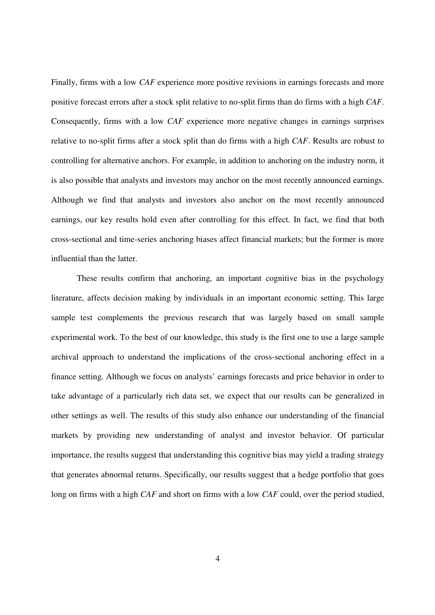Finally, firms with a low *CAF* experience more positive revisions in earnings forecasts and more positive forecast errors after a stock split relative to no-split firms than do firms with a high *CAF*. Consequently, firms with a low *CAF* experience more negative changes in earnings surprises relative to no-split firms after a stock split than do firms with a high *CAF*. Results are robust to controlling for alternative anchors. For example, in addition to anchoring on the industry norm, it is also possible that analysts and investors may anchor on the most recently announced earnings. Although we find that analysts and investors also anchor on the most recently announced earnings, our key results hold even after controlling for this effect. In fact, we find that both cross-sectional and time-series anchoring biases affect financial markets; but the former is more influential than the latter.

These results confirm that anchoring, an important cognitive bias in the psychology literature, affects decision making by individuals in an important economic setting. This large sample test complements the previous research that was largely based on small sample experimental work. To the best of our knowledge, this study is the first one to use a large sample archival approach to understand the implications of the cross-sectional anchoring effect in a finance setting. Although we focus on analysts' earnings forecasts and price behavior in order to take advantage of a particularly rich data set, we expect that our results can be generalized in other settings as well. The results of this study also enhance our understanding of the financial markets by providing new understanding of analyst and investor behavior. Of particular importance, the results suggest that understanding this cognitive bias may yield a trading strategy that generates abnormal returns. Specifically, our results suggest that a hedge portfolio that goes long on firms with a high *CAF* and short on firms with a low *CAF* could, over the period studied,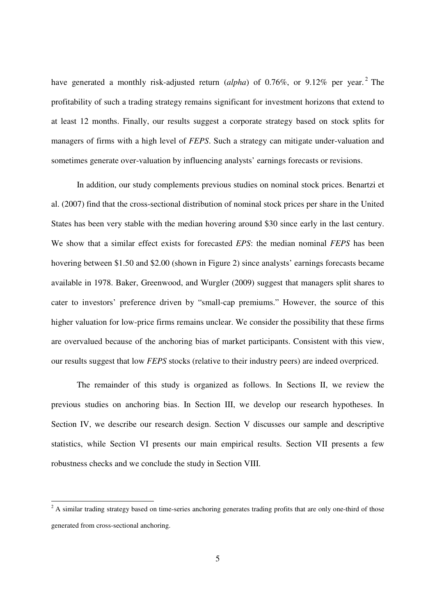have generated a monthly risk-adjusted return (*alpha*) of 0.76%, or 9.12% per year.<sup>2</sup> The profitability of such a trading strategy remains significant for investment horizons that extend to at least 12 months. Finally, our results suggest a corporate strategy based on stock splits for managers of firms with a high level of *FEPS*. Such a strategy can mitigate under-valuation and sometimes generate over-valuation by influencing analysts' earnings forecasts or revisions.

In addition, our study complements previous studies on nominal stock prices. Benartzi et al. (2007) find that the cross-sectional distribution of nominal stock prices per share in the United States has been very stable with the median hovering around \$30 since early in the last century. We show that a similar effect exists for forecasted *EPS*: the median nominal *FEPS* has been hovering between \$1.50 and \$2.00 (shown in Figure 2) since analysts' earnings forecasts became available in 1978. Baker, Greenwood, and Wurgler (2009) suggest that managers split shares to cater to investors' preference driven by "small-cap premiums." However, the source of this higher valuation for low-price firms remains unclear. We consider the possibility that these firms are overvalued because of the anchoring bias of market participants. Consistent with this view, our results suggest that low *FEPS* stocks (relative to their industry peers) are indeed overpriced.

The remainder of this study is organized as follows. In Sections II, we review the previous studies on anchoring bias. In Section III, we develop our research hypotheses. In Section IV, we describe our research design. Section V discusses our sample and descriptive statistics, while Section VI presents our main empirical results. Section VII presents a few robustness checks and we conclude the study in Section VIII.

<sup>&</sup>lt;sup>2</sup> A similar trading strategy based on time-series anchoring generates trading profits that are only one-third of those generated from cross-sectional anchoring.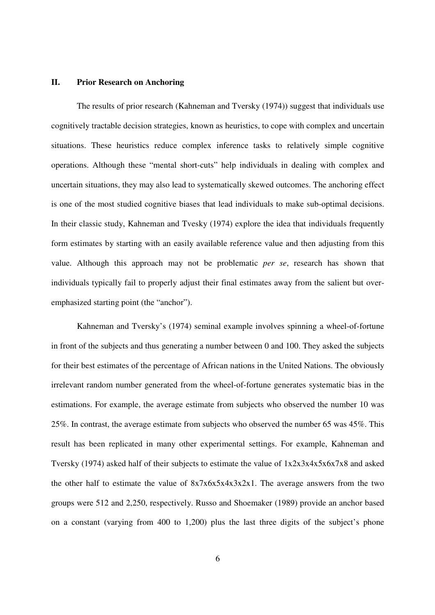# **II. Prior Research on Anchoring**

The results of prior research (Kahneman and Tversky (1974)) suggest that individuals use cognitively tractable decision strategies, known as heuristics, to cope with complex and uncertain situations. These heuristics reduce complex inference tasks to relatively simple cognitive operations. Although these "mental short-cuts" help individuals in dealing with complex and uncertain situations, they may also lead to systematically skewed outcomes. The anchoring effect is one of the most studied cognitive biases that lead individuals to make sub-optimal decisions. In their classic study, Kahneman and Tvesky (1974) explore the idea that individuals frequently form estimates by starting with an easily available reference value and then adjusting from this value. Although this approach may not be problematic *per se*, research has shown that individuals typically fail to properly adjust their final estimates away from the salient but overemphasized starting point (the "anchor").

Kahneman and Tversky's (1974) seminal example involves spinning a wheel-of-fortune in front of the subjects and thus generating a number between 0 and 100. They asked the subjects for their best estimates of the percentage of African nations in the United Nations. The obviously irrelevant random number generated from the wheel-of-fortune generates systematic bias in the estimations. For example, the average estimate from subjects who observed the number 10 was 25%. In contrast, the average estimate from subjects who observed the number 65 was 45%. This result has been replicated in many other experimental settings. For example, Kahneman and Tversky (1974) asked half of their subjects to estimate the value of  $1x2x3x4x5x6x7x8$  and asked the other half to estimate the value of 8x7x6x5x4x3x2x1. The average answers from the two groups were 512 and 2,250, respectively. Russo and Shoemaker (1989) provide an anchor based on a constant (varying from 400 to 1,200) plus the last three digits of the subject's phone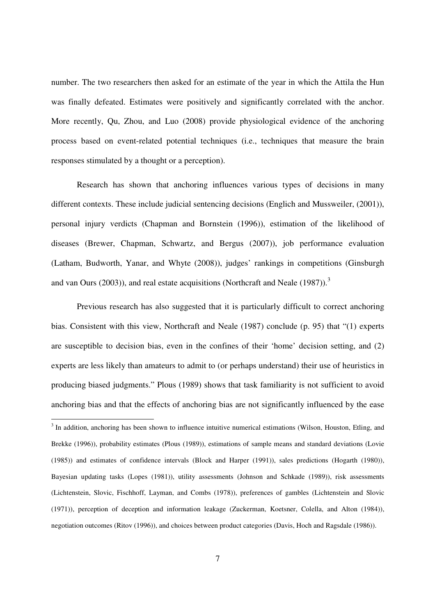number. The two researchers then asked for an estimate of the year in which the Attila the Hun was finally defeated. Estimates were positively and significantly correlated with the anchor. More recently, Qu, Zhou, and Luo (2008) provide physiological evidence of the anchoring process based on event-related potential techniques (i.e., techniques that measure the brain responses stimulated by a thought or a perception).

Research has shown that anchoring influences various types of decisions in many different contexts. These include judicial sentencing decisions (Englich and Mussweiler, (2001)), personal injury verdicts (Chapman and Bornstein (1996)), estimation of the likelihood of diseases (Brewer, Chapman, Schwartz, and Bergus (2007)), job performance evaluation (Latham, Budworth, Yanar, and Whyte (2008)), judges' rankings in competitions (Ginsburgh and van Ours (2003)), and real estate acquisitions (Northcraft and Neale (1987)).<sup>3</sup>

Previous research has also suggested that it is particularly difficult to correct anchoring bias. Consistent with this view, Northcraft and Neale (1987) conclude (p. 95) that "(1) experts are susceptible to decision bias, even in the confines of their 'home' decision setting, and (2) experts are less likely than amateurs to admit to (or perhaps understand) their use of heuristics in producing biased judgments." Plous (1989) shows that task familiarity is not sufficient to avoid anchoring bias and that the effects of anchoring bias are not significantly influenced by the ease

<sup>&</sup>lt;sup>3</sup> In addition, anchoring has been shown to influence intuitive numerical estimations (Wilson, Houston, Etling, and <sup>3</sup> Brekke (1996)), probability estimates (Plous (1989)), estimations of sample means and standard deviations (Lovie (1985)) and estimates of confidence intervals (Block and Harper (1991)), sales predictions (Hogarth (1980)), Bayesian updating tasks (Lopes (1981)), utility assessments (Johnson and Schkade (1989)), risk assessments (Lichtenstein, Slovic, Fischhoff, Layman, and Combs (1978)), preferences of gambles (Lichtenstein and Slovic (1971)), perception of deception and information leakage (Zuckerman, Koetsner, Colella, and Alton (1984)), negotiation outcomes (Ritov (1996)), and choices between product categories (Davis, Hoch and Ragsdale (1986)).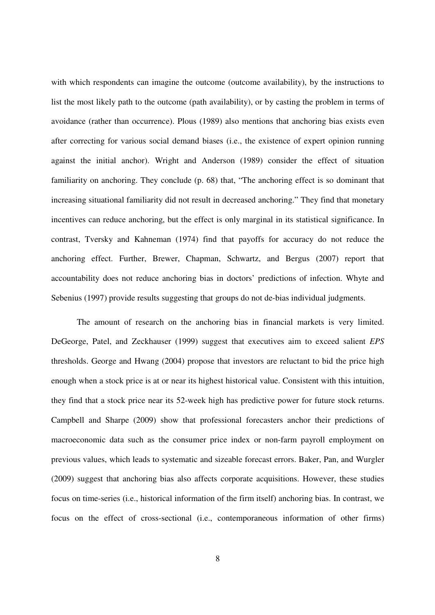with which respondents can imagine the outcome (outcome availability), by the instructions to list the most likely path to the outcome (path availability), or by casting the problem in terms of avoidance (rather than occurrence). Plous (1989) also mentions that anchoring bias exists even after correcting for various social demand biases (i.e., the existence of expert opinion running against the initial anchor). Wright and Anderson (1989) consider the effect of situation familiarity on anchoring. They conclude (p. 68) that, "The anchoring effect is so dominant that increasing situational familiarity did not result in decreased anchoring." They find that monetary incentives can reduce anchoring, but the effect is only marginal in its statistical significance. In contrast, Tversky and Kahneman (1974) find that payoffs for accuracy do not reduce the anchoring effect. Further, Brewer, Chapman, Schwartz, and Bergus (2007) report that accountability does not reduce anchoring bias in doctors' predictions of infection. Whyte and Sebenius (1997) provide results suggesting that groups do not de-bias individual judgments.

The amount of research on the anchoring bias in financial markets is very limited. DeGeorge, Patel, and Zeckhauser (1999) suggest that executives aim to exceed salient *EPS* thresholds. George and Hwang (2004) propose that investors are reluctant to bid the price high enough when a stock price is at or near its highest historical value. Consistent with this intuition, they find that a stock price near its 52-week high has predictive power for future stock returns. Campbell and Sharpe (2009) show that professional forecasters anchor their predictions of macroeconomic data such as the consumer price index or non-farm payroll employment on previous values, which leads to systematic and sizeable forecast errors. Baker, Pan, and Wurgler (2009) suggest that anchoring bias also affects corporate acquisitions. However, these studies focus on time-series (i.e., historical information of the firm itself) anchoring bias. In contrast, we focus on the effect of cross-sectional (i.e., contemporaneous information of other firms)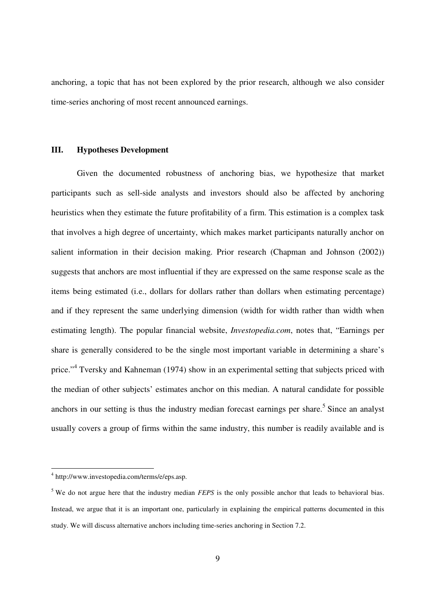anchoring, a topic that has not been explored by the prior research, although we also consider time-series anchoring of most recent announced earnings.

# **III. Hypotheses Development**

Given the documented robustness of anchoring bias, we hypothesize that market participants such as sell-side analysts and investors should also be affected by anchoring heuristics when they estimate the future profitability of a firm. This estimation is a complex task that involves a high degree of uncertainty, which makes market participants naturally anchor on salient information in their decision making. Prior research (Chapman and Johnson (2002)) suggests that anchors are most influential if they are expressed on the same response scale as the items being estimated (i.e., dollars for dollars rather than dollars when estimating percentage) and if they represent the same underlying dimension (width for width rather than width when estimating length). The popular financial website, *Investopedia.com*, notes that, "Earnings per share is generally considered to be the single most important variable in determining a share's price."<sup>4</sup> Tversky and Kahneman (1974) show in an experimental setting that subjects priced with the median of other subjects' estimates anchor on this median. A natural candidate for possible anchors in our setting is thus the industry median forecast earnings per share.<sup>5</sup> Since an analyst usually covers a group of firms within the same industry, this number is readily available and is

 4 http://www.investopedia.com/terms/e/eps.asp.

<sup>&</sup>lt;sup>5</sup> We do not argue here that the industry median *FEPS* is the only possible anchor that leads to behavioral bias. Instead, we argue that it is an important one, particularly in explaining the empirical patterns documented in this study. We will discuss alternative anchors including time-series anchoring in Section 7.2.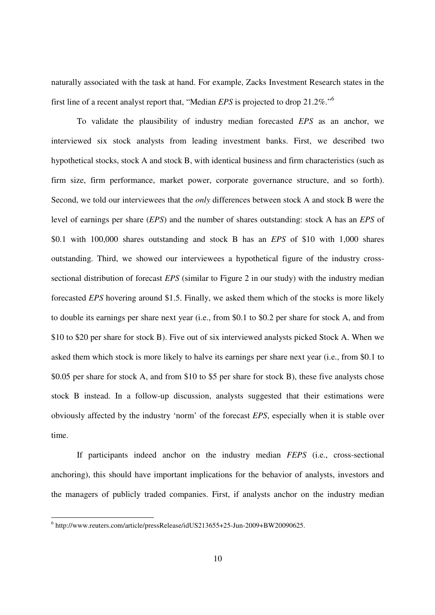naturally associated with the task at hand. For example, Zacks Investment Research states in the first line of a recent analyst report that, "Median *EPS* is projected to drop 21.2%."<sup>6</sup>

To validate the plausibility of industry median forecasted *EPS* as an anchor, we interviewed six stock analysts from leading investment banks. First, we described two hypothetical stocks, stock A and stock B, with identical business and firm characteristics (such as firm size, firm performance, market power, corporate governance structure, and so forth). Second, we told our interviewees that the *only* differences between stock A and stock B were the level of earnings per share (*EPS*) and the number of shares outstanding: stock A has an *EPS* of \$0.1 with 100,000 shares outstanding and stock B has an *EPS* of \$10 with 1,000 shares outstanding. Third, we showed our interviewees a hypothetical figure of the industry crosssectional distribution of forecast *EPS* (similar to Figure 2 in our study) with the industry median forecasted *EPS* hovering around \$1.5. Finally, we asked them which of the stocks is more likely to double its earnings per share next year (i.e., from \$0.1 to \$0.2 per share for stock A, and from \$10 to \$20 per share for stock B). Five out of six interviewed analysts picked Stock A. When we asked them which stock is more likely to halve its earnings per share next year (i.e., from \$0.1 to \$0.05 per share for stock A, and from \$10 to \$5 per share for stock B), these five analysts chose stock B instead. In a follow-up discussion, analysts suggested that their estimations were obviously affected by the industry 'norm' of the forecast *EPS*, especially when it is stable over time.

If participants indeed anchor on the industry median *FEPS* (i.e., cross-sectional anchoring), this should have important implications for the behavior of analysts, investors and the managers of publicly traded companies. First, if analysts anchor on the industry median

 6 http://www.reuters.com/article/pressRelease/idUS213655+25-Jun-2009+BW20090625.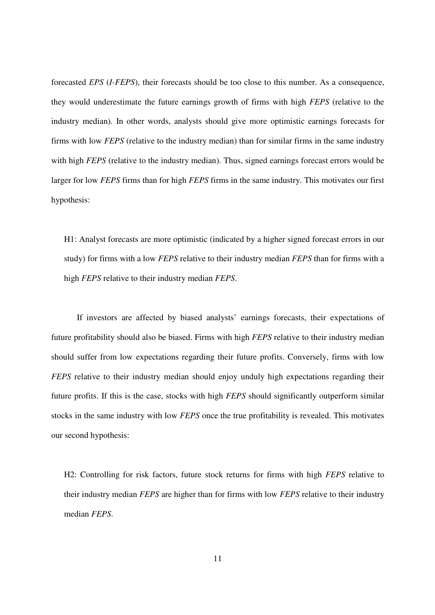forecasted *EPS* (*I-FEPS*), their forecasts should be too close to this number. As a consequence, they would underestimate the future earnings growth of firms with high *FEPS* (relative to the industry median). In other words, analysts should give more optimistic earnings forecasts for firms with low *FEPS* (relative to the industry median) than for similar firms in the same industry with high *FEPS* (relative to the industry median). Thus, signed earnings forecast errors would be larger for low *FEPS* firms than for high *FEPS* firms in the same industry. This motivates our first hypothesis:

H1: Analyst forecasts are more optimistic (indicated by a higher signed forecast errors in our study) for firms with a low *FEPS* relative to their industry median *FEPS* than for firms with a high *FEPS* relative to their industry median *FEPS*.

If investors are affected by biased analysts' earnings forecasts, their expectations of future profitability should also be biased. Firms with high *FEPS* relative to their industry median should suffer from low expectations regarding their future profits. Conversely, firms with low *FEPS* relative to their industry median should enjoy unduly high expectations regarding their future profits. If this is the case, stocks with high *FEPS* should significantly outperform similar stocks in the same industry with low *FEPS* once the true profitability is revealed. This motivates our second hypothesis:

H2: Controlling for risk factors, future stock returns for firms with high *FEPS* relative to their industry median *FEPS* are higher than for firms with low *FEPS* relative to their industry median *FEPS*.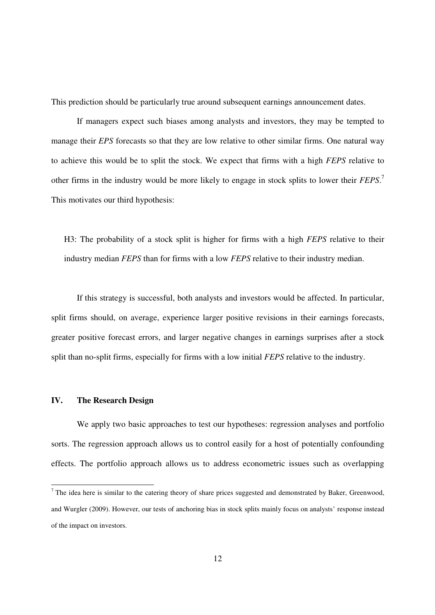This prediction should be particularly true around subsequent earnings announcement dates.

If managers expect such biases among analysts and investors, they may be tempted to manage their *EPS* forecasts so that they are low relative to other similar firms. One natural way to achieve this would be to split the stock. We expect that firms with a high *FEPS* relative to other firms in the industry would be more likely to engage in stock splits to lower their *FEPS*. 7 This motivates our third hypothesis:

H3: The probability of a stock split is higher for firms with a high *FEPS* relative to their industry median *FEPS* than for firms with a low *FEPS* relative to their industry median.

If this strategy is successful, both analysts and investors would be affected. In particular, split firms should, on average, experience larger positive revisions in their earnings forecasts, greater positive forecast errors, and larger negative changes in earnings surprises after a stock split than no-split firms, especially for firms with a low initial *FEPS* relative to the industry.

# **IV. The Research Design**

We apply two basic approaches to test our hypotheses: regression analyses and portfolio sorts. The regression approach allows us to control easily for a host of potentially confounding effects. The portfolio approach allows us to address econometric issues such as overlapping

The idea here is similar to the catering theory of share prices suggested and demonstrated by Baker, Greenwood, and Wurgler (2009). However, our tests of anchoring bias in stock splits mainly focus on analysts' response instead of the impact on investors.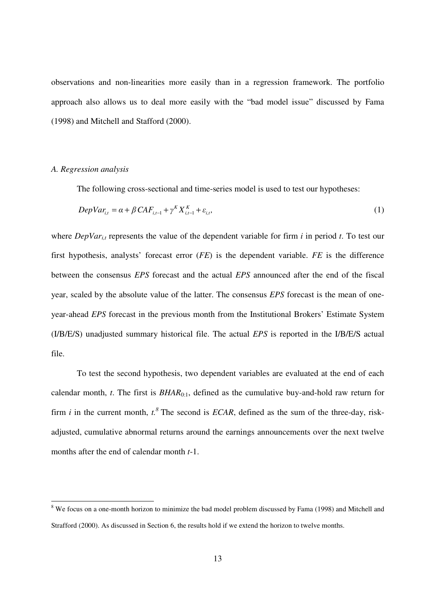observations and non-linearities more easily than in a regression framework. The portfolio approach also allows us to deal more easily with the "bad model issue" discussed by Fama (1998) and Mitchell and Stafford (2000).

# *A. Regression analysis*

-

The following cross-sectional and time-series model is used to test our hypotheses:

$$
DepVar_{i,t} = \alpha + \beta CAF_{i,t-1} + \gamma^K X_{i,t-1}^K + \varepsilon_{i,t},
$$
\n<sup>(1)</sup>

where *DepVar<sub>i,t</sub>* represents the value of the dependent variable for firm *i* in period *t*. To test our first hypothesis, analysts' forecast error (*FE*) is the dependent variable. *FE* is the difference between the consensus *EPS* forecast and the actual *EPS* announced after the end of the fiscal year, scaled by the absolute value of the latter. The consensus *EPS* forecast is the mean of oneyear-ahead *EPS* forecast in the previous month from the Institutional Brokers' Estimate System (I/B/E/S) unadjusted summary historical file. The actual *EPS* is reported in the I/B/E/S actual file.

To test the second hypothesis, two dependent variables are evaluated at the end of each calendar month, *t*. The first is *BHAR*0:1, defined as the cumulative buy-and-hold raw return for firm *i* in the current month,  $t^8$ . The second is *ECAR*, defined as the sum of the three-day, riskadjusted, cumulative abnormal returns around the earnings announcements over the next twelve months after the end of calendar month *t*-1.

<sup>&</sup>lt;sup>8</sup> We focus on a one-month horizon to minimize the bad model problem discussed by Fama (1998) and Mitchell and Strafford (2000). As discussed in Section 6, the results hold if we extend the horizon to twelve months.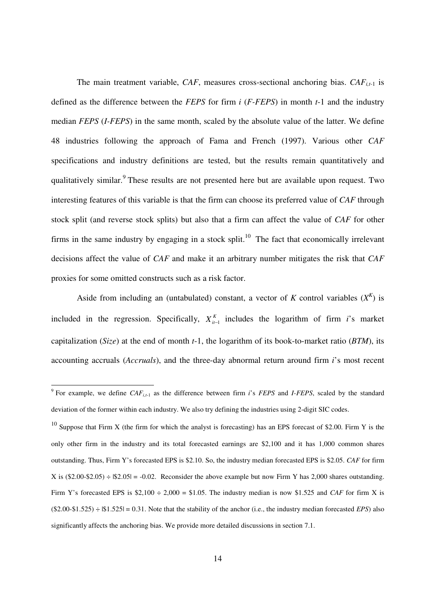The main treatment variable, *CAF*, measures cross-sectional anchoring bias. *CAFi,t*-1 is defined as the difference between the *FEPS* for firm *i* (*F-FEPS*) in month *t*-1 and the industry median *FEPS* (*I-FEPS*) in the same month, scaled by the absolute value of the latter. We define 48 industries following the approach of Fama and French (1997). Various other *CAF* specifications and industry definitions are tested, but the results remain quantitatively and qualitatively similar.<sup>9</sup> These results are not presented here but are available upon request. Two interesting features of this variable is that the firm can choose its preferred value of *CAF* through stock split (and reverse stock splits) but also that a firm can affect the value of *CAF* for other firms in the same industry by engaging in a stock split.<sup>10</sup> The fact that economically irrelevant decisions affect the value of *CAF* and make it an arbitrary number mitigates the risk that *CAF* proxies for some omitted constructs such as a risk factor.

Aside from including an (untabulated) constant, a vector of *K* control variables  $(X^K)$  is included in the regression. Specifically,  $X_{i-1}^{K}$  includes the logarithm of firm *i*'s market capitalization (*Size*) at the end of month *t*-1, the logarithm of its book-to-market ratio (*BTM*), its accounting accruals (*Accruals*), and the three-day abnormal return around firm *i*'s most recent

 9 For example, we define *CAFi,t*-1 as the difference between firm *i*'s *FEPS* and *I-FEPS*, scaled by the standard deviation of the former within each industry. We also try defining the industries using 2-digit SIC codes.

<sup>&</sup>lt;sup>10</sup> Suppose that Firm X (the firm for which the analyst is forecasting) has an EPS forecast of \$2.00. Firm Y is the only other firm in the industry and its total forecasted earnings are \$2,100 and it has 1,000 common shares outstanding. Thus, Firm Y's forecasted EPS is \$2.10. So, the industry median forecasted EPS is \$2.05. *CAF* for firm X is  $(\$2.00-\$2.05) \div \$2.05| = -0.02$ . Reconsider the above example but now Firm Y has 2,000 shares outstanding. Firm Y's forecasted EPS is  $$2,100 \div 2,000 = $1.05$ . The industry median is now \$1.525 and *CAF* for firm X is  $(\$2.00-\$1.525) \div \$1.525| = 0.31$ . Note that the stability of the anchor (i.e., the industry median forecasted *EPS*) also significantly affects the anchoring bias. We provide more detailed discussions in section 7.1.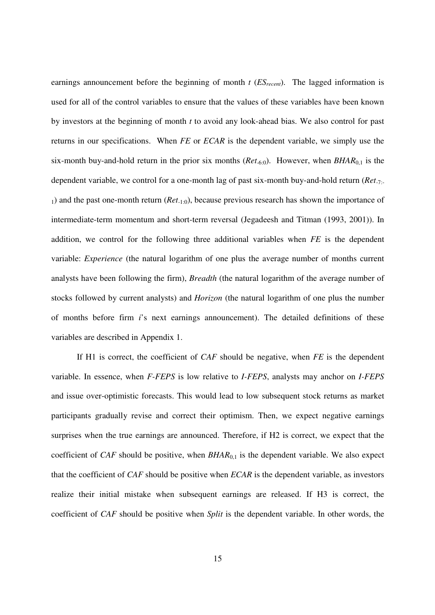earnings announcement before the beginning of month *t* (*ESrecent*). The lagged information is used for all of the control variables to ensure that the values of these variables have been known by investors at the beginning of month *t* to avoid any look-ahead bias. We also control for past returns in our specifications. When *FE* or *ECAR* is the dependent variable, we simply use the six-month buy-and-hold return in the prior six months (*Ret*-6:0). However, when *BHAR*0,1 is the dependent variable, we control for a one-month lag of past six-month buy-and-hold return (*Ret*-7:- <sup>1</sup>) and the past one-month return (*Ret*-1:0), because previous research has shown the importance of intermediate-term momentum and short-term reversal (Jegadeesh and Titman (1993, 2001)). In addition, we control for the following three additional variables when *FE* is the dependent variable: *Experience* (the natural logarithm of one plus the average number of months current analysts have been following the firm), *Breadth* (the natural logarithm of the average number of stocks followed by current analysts) and *Horizon* (the natural logarithm of one plus the number of months before firm *i*'s next earnings announcement). The detailed definitions of these variables are described in Appendix 1.

If H1 is correct, the coefficient of *CAF* should be negative, when *FE* is the dependent variable. In essence, when *F-FEPS* is low relative to *I-FEPS*, analysts may anchor on *I-FEPS* and issue over-optimistic forecasts. This would lead to low subsequent stock returns as market participants gradually revise and correct their optimism. Then, we expect negative earnings surprises when the true earnings are announced. Therefore, if H2 is correct, we expect that the coefficient of *CAF* should be positive, when *BHAR*<sub>0,1</sub> is the dependent variable. We also expect that the coefficient of *CAF* should be positive when *ECAR* is the dependent variable, as investors realize their initial mistake when subsequent earnings are released. If H3 is correct, the coefficient of *CAF* should be positive when *Split* is the dependent variable. In other words, the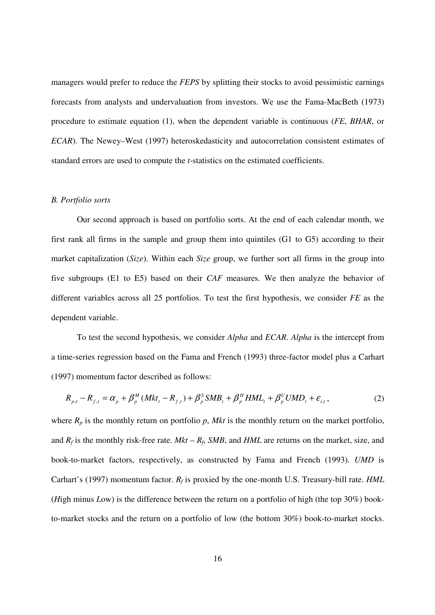managers would prefer to reduce the *FEPS* by splitting their stocks to avoid pessimistic earnings forecasts from analysts and undervaluation from investors. We use the Fama-MacBeth (1973) procedure to estimate equation (1), when the dependent variable is continuous (*FE*, *BHAR*, or *ECAR*). The Newey–West (1997) heteroskedasticity and autocorrelation consistent estimates of standard errors are used to compute the *t*-statistics on the estimated coefficients.

#### *B. Portfolio sorts*

Our second approach is based on portfolio sorts. At the end of each calendar month, we first rank all firms in the sample and group them into quintiles (G1 to G5) according to their market capitalization (*Size*). Within each *Size* group, we further sort all firms in the group into five subgroups (E1 to E5) based on their *CAF* measures. We then analyze the behavior of different variables across all 25 portfolios. To test the first hypothesis, we consider *FE* as the dependent variable.

To test the second hypothesis, we consider *Alpha* and *ECAR*. *Alpha* is the intercept from a time-series regression based on the Fama and French (1993) three-factor model plus a Carhart (1997) momentum factor described as follows:

$$
R_{p,t} - R_{f,t} = \alpha_p + \beta_p^M (Mkt_t - R_{f,t}) + \beta_p^S SMB_t + \beta_p^H HML_t + \beta_p^U UMD_t + \varepsilon_{i,t},
$$
 (2)

where  $R_p$  is the monthly return on portfolio  $p$ , Mkt is the monthly return on the market portfolio, and  $R_f$  is the monthly risk-free rate.  $Mkt - R_f$ ,  $SMB$ , and  $HML$  are returns on the market, size, and book-to-market factors, respectively, as constructed by Fama and French (1993). *UMD* is Carhart's (1997) momentum factor. *R<sup>f</sup>* is proxied by the one-month U.S. Treasury-bill rate. *HML* (*H*igh minus *L*ow) is the difference between the return on a portfolio of high (the top 30%) bookto-market stocks and the return on a portfolio of low (the bottom 30%) book-to-market stocks.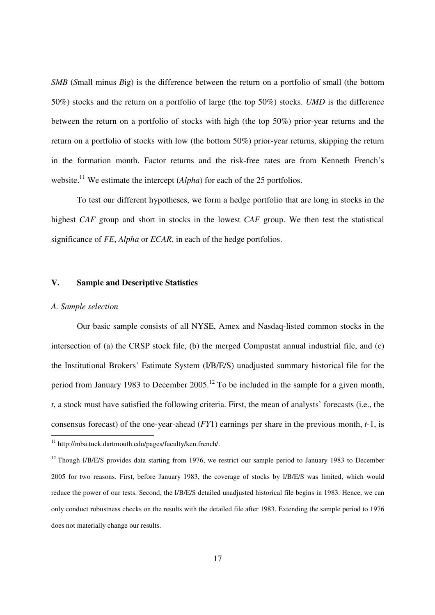*SMB* (*S*mall minus *B*ig) is the difference between the return on a portfolio of small (the bottom 50%) stocks and the return on a portfolio of large (the top 50%) stocks. *UMD* is the difference between the return on a portfolio of stocks with high (the top 50%) prior-year returns and the return on a portfolio of stocks with low (the bottom 50%) prior-year returns, skipping the return in the formation month. Factor returns and the risk-free rates are from Kenneth French's website.<sup>11</sup> We estimate the intercept (*Alpha*) for each of the 25 portfolios.

To test our different hypotheses, we form a hedge portfolio that are long in stocks in the highest *CAF* group and short in stocks in the lowest *CAF* group. We then test the statistical significance of *FE*, *Alpha* or *ECAR*, in each of the hedge portfolios.

# **V. Sample and Descriptive Statistics**

# *A. Sample selection*

Our basic sample consists of all NYSE, Amex and Nasdaq-listed common stocks in the intersection of (a) the CRSP stock file, (b) the merged Compustat annual industrial file, and (c) the Institutional Brokers' Estimate System (I/B/E/S) unadjusted summary historical file for the period from January 1983 to December 2005.<sup>12</sup> To be included in the sample for a given month, *t*, a stock must have satisfied the following criteria. First, the mean of analysts' forecasts (i.e., the consensus forecast) of the one-year-ahead (*FY*1) earnings per share in the previous month, *t*-1, is -

<sup>&</sup>lt;sup>11</sup> http://mba.tuck.dartmouth.edu/pages/faculty/ken.french/.

<sup>&</sup>lt;sup>12</sup> Though I/B/E/S provides data starting from 1976, we restrict our sample period to January 1983 to December 2005 for two reasons. First, before January 1983, the coverage of stocks by I/B/E/S was limited, which would reduce the power of our tests. Second, the I/B/E/S detailed unadjusted historical file begins in 1983. Hence, we can only conduct robustness checks on the results with the detailed file after 1983. Extending the sample period to 1976 does not materially change our results.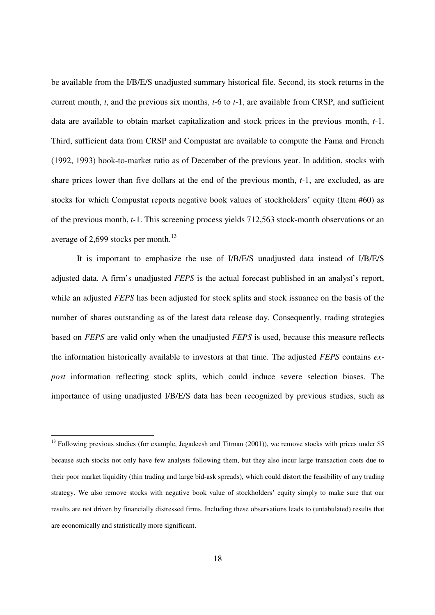be available from the I/B/E/S unadjusted summary historical file. Second, its stock returns in the current month, *t*, and the previous six months, *t*-6 to *t*-1, are available from CRSP, and sufficient data are available to obtain market capitalization and stock prices in the previous month, *t*-1. Third, sufficient data from CRSP and Compustat are available to compute the Fama and French (1992, 1993) book-to-market ratio as of December of the previous year. In addition, stocks with share prices lower than five dollars at the end of the previous month, *t*-1, are excluded, as are stocks for which Compustat reports negative book values of stockholders' equity (Item #60) as of the previous month, *t-*1. This screening process yields 712,563 stock-month observations or an average of 2,699 stocks per month.<sup>13</sup>

It is important to emphasize the use of I/B/E/S unadjusted data instead of I/B/E/S adjusted data. A firm's unadjusted *FEPS* is the actual forecast published in an analyst's report, while an adjusted *FEPS* has been adjusted for stock splits and stock issuance on the basis of the number of shares outstanding as of the latest data release day. Consequently, trading strategies based on *FEPS* are valid only when the unadjusted *FEPS* is used, because this measure reflects the information historically available to investors at that time. The adjusted *FEPS* contains *expost* information reflecting stock splits, which could induce severe selection biases. The importance of using unadjusted I/B/E/S data has been recognized by previous studies, such as

-

 $^{13}$  Following previous studies (for example, Jegadeesh and Titman (2001)), we remove stocks with prices under \$5 because such stocks not only have few analysts following them, but they also incur large transaction costs due to their poor market liquidity (thin trading and large bid-ask spreads), which could distort the feasibility of any trading strategy. We also remove stocks with negative book value of stockholders' equity simply to make sure that our results are not driven by financially distressed firms. Including these observations leads to (untabulated) results that are economically and statistically more significant.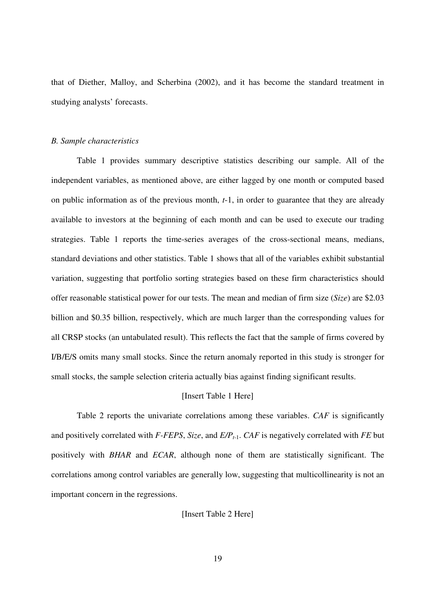that of Diether, Malloy, and Scherbina (2002), and it has become the standard treatment in studying analysts' forecasts.

# *B. Sample characteristics*

Table 1 provides summary descriptive statistics describing our sample. All of the independent variables, as mentioned above, are either lagged by one month or computed based on public information as of the previous month, *t*-1, in order to guarantee that they are already available to investors at the beginning of each month and can be used to execute our trading strategies. Table 1 reports the time-series averages of the cross-sectional means, medians, standard deviations and other statistics. Table 1 shows that all of the variables exhibit substantial variation, suggesting that portfolio sorting strategies based on these firm characteristics should offer reasonable statistical power for our tests. The mean and median of firm size (*Size*) are \$2.03 billion and \$0.35 billion, respectively, which are much larger than the corresponding values for all CRSP stocks (an untabulated result). This reflects the fact that the sample of firms covered by I/B/E/S omits many small stocks. Since the return anomaly reported in this study is stronger for small stocks, the sample selection criteria actually bias against finding significant results.

# [Insert Table 1 Here]

Table 2 reports the univariate correlations among these variables. *CAF* is significantly and positively correlated with *F-FEPS*, *Size*, and *E/Pt*-1. *CAF* is negatively correlated with *FE* but positively with *BHAR* and *ECAR*, although none of them are statistically significant. The correlations among control variables are generally low, suggesting that multicollinearity is not an important concern in the regressions.

[Insert Table 2 Here]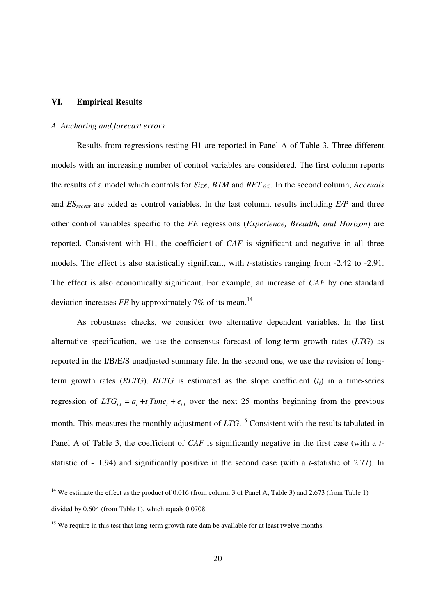# **VI. Empirical Results**

-

# *A. Anchoring and forecast errors*

Results from regressions testing H1 are reported in Panel A of Table 3. Three different models with an increasing number of control variables are considered. The first column reports the results of a model which controls for *Size*, *BTM* and *RET*-6:0. In the second column, *Accruals* and *ES*<sub>recent</sub> are added as control variables. In the last column, results including *E*/*P* and three other control variables specific to the *FE* regressions (*Experience, Breadth, and Horizon*) are reported. Consistent with H1, the coefficient of *CAF* is significant and negative in all three models. The effect is also statistically significant, with *t*-statistics ranging from -2.42 to -2.91. The effect is also economically significant. For example, an increase of *CAF* by one standard deviation increases *FE* by approximately 7% of its mean.<sup>14</sup>

As robustness checks, we consider two alternative dependent variables. In the first alternative specification, we use the consensus forecast of long-term growth rates (*LTG*) as reported in the I/B/E/S unadjusted summary file. In the second one, we use the revision of longterm growth rates ( $RLTG$ ).  $RLTG$  is estimated as the slope coefficient  $(t_i)$  in a time-series regression of  $LTG_{i,t} = a_i + t_i Time_t + e_{i,t}$  over the next 25 months beginning from the previous month. This measures the monthly adjustment of *LTG*.<sup>15</sup> Consistent with the results tabulated in Panel A of Table 3, the coefficient of *CAF* is significantly negative in the first case (with a *t*statistic of -11.94) and significantly positive in the second case (with a *t*-statistic of 2.77). In

<sup>&</sup>lt;sup>14</sup> We estimate the effect as the product of 0.016 (from column 3 of Panel A, Table 3) and 2.673 (from Table 1) divided by 0.604 (from Table 1), which equals 0.0708.

 $15$  We require in this test that long-term growth rate data be available for at least twelve months.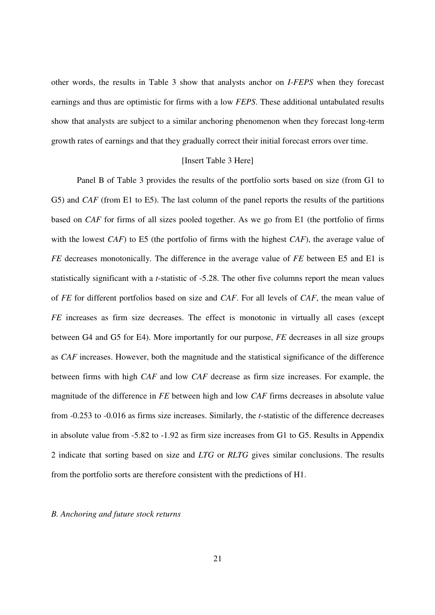other words, the results in Table 3 show that analysts anchor on *I-FEPS* when they forecast earnings and thus are optimistic for firms with a low *FEPS*. These additional untabulated results show that analysts are subject to a similar anchoring phenomenon when they forecast long-term growth rates of earnings and that they gradually correct their initial forecast errors over time.

#### [Insert Table 3 Here]

Panel B of Table 3 provides the results of the portfolio sorts based on size (from G1 to G5) and *CAF* (from E1 to E5). The last column of the panel reports the results of the partitions based on *CAF* for firms of all sizes pooled together. As we go from E1 (the portfolio of firms with the lowest *CAF*) to E5 (the portfolio of firms with the highest *CAF*), the average value of *FE* decreases monotonically. The difference in the average value of *FE* between E5 and E1 is statistically significant with a *t*-statistic of -5.28. The other five columns report the mean values of *FE* for different portfolios based on size and *CAF*. For all levels of *CAF*, the mean value of *FE* increases as firm size decreases. The effect is monotonic in virtually all cases (except between G4 and G5 for E4). More importantly for our purpose, *FE* decreases in all size groups as *CAF* increases. However, both the magnitude and the statistical significance of the difference between firms with high *CAF* and low *CAF* decrease as firm size increases. For example, the magnitude of the difference in *FE* between high and low *CAF* firms decreases in absolute value from -0.253 to -0.016 as firms size increases. Similarly, the *t*-statistic of the difference decreases in absolute value from -5.82 to -1.92 as firm size increases from G1 to G5. Results in Appendix 2 indicate that sorting based on size and *LTG* or *RLTG* gives similar conclusions. The results from the portfolio sorts are therefore consistent with the predictions of H1.

# *B. Anchoring and future stock returns*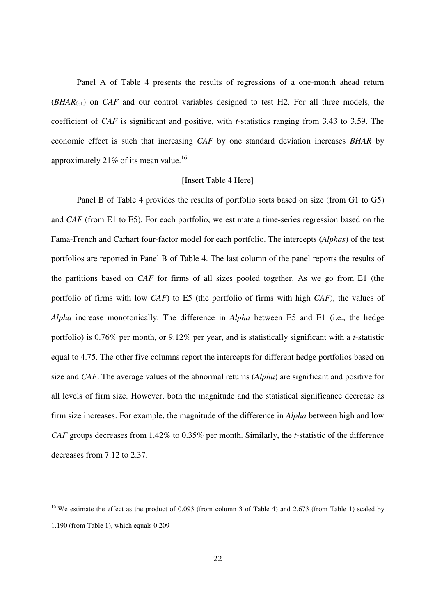Panel A of Table 4 presents the results of regressions of a one-month ahead return (*BHAR*0:1) on *CAF* and our control variables designed to test H2. For all three models, the coefficient of *CAF* is significant and positive, with *t*-statistics ranging from 3.43 to 3.59. The economic effect is such that increasing *CAF* by one standard deviation increases *BHAR* by approximately 21% of its mean value.<sup>16</sup>

# [Insert Table 4 Here]

Panel B of Table 4 provides the results of portfolio sorts based on size (from G1 to G5) and *CAF* (from E1 to E5). For each portfolio, we estimate a time-series regression based on the Fama-French and Carhart four-factor model for each portfolio. The intercepts (*Alphas*) of the test portfolios are reported in Panel B of Table 4. The last column of the panel reports the results of the partitions based on *CAF* for firms of all sizes pooled together. As we go from E1 (the portfolio of firms with low *CAF*) to E5 (the portfolio of firms with high *CAF*), the values of *Alpha* increase monotonically. The difference in *Alpha* between E5 and E1 (i.e., the hedge portfolio) is 0.76% per month, or 9.12% per year, and is statistically significant with a *t*-statistic equal to 4.75. The other five columns report the intercepts for different hedge portfolios based on size and *CAF*. The average values of the abnormal returns (*Alpha*) are significant and positive for all levels of firm size. However, both the magnitude and the statistical significance decrease as firm size increases. For example, the magnitude of the difference in *Alpha* between high and low *CAF* groups decreases from 1.42% to 0.35% per month. Similarly, the *t*-statistic of the difference decreases from 7.12 to 2.37.

-

<sup>&</sup>lt;sup>16</sup> We estimate the effect as the product of 0.093 (from column 3 of Table 4) and 2.673 (from Table 1) scaled by 1.190 (from Table 1), which equals 0.209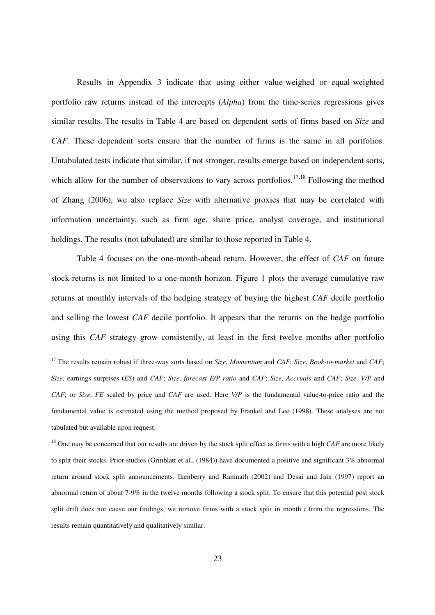Results in Appendix 3 indicate that using either value-weighed or equal-weighted portfolio raw returns instead of the intercepts (*Alpha*) from the time-series regressions gives similar results. The results in Table 4 are based on dependent sorts of firms based on *Size* and *CAF.* These dependent sorts ensure that the number of firms is the same in all portfolios. Untabulated tests indicate that similar, if not stronger, results emerge based on independent sorts, which allow for the number of observations to vary across portfolios.<sup>17,18</sup> Following the method of Zhang (2006), we also replace *Size* with alternative proxies that may be correlated with information uncertainty, such as firm age, share price, analyst coverage, and institutional holdings. The results (not tabulated) are similar to those reported in Table 4.

Table 4 focuses on the one-month-ahead return. However, the effect of *CAF* on future stock returns is not limited to a one-month horizon. Figure 1 plots the average cumulative raw returns at monthly intervals of the hedging strategy of buying the highest *CAF* decile portfolio and selling the lowest *CAF* decile portfolio. It appears that the returns on the hedge portfolio using this *CAF* strategy grow consistently, at least in the first twelve months after portfolio

-

<sup>17</sup> The results remain robust if three-way sorts based on *Size*, *Momentum* and *CAF*; *Size*, *Book-to-market* and *CAF*; *Size*, earnings surprises (*ES*) and *CAF*; *Size*, *forecast E/P ratio* and *CAF*; *Size*, *Accruals* and *CAF*; *Size, V/P* and *CAF*; or *Size*, *FE* scaled by price and *CAF* are used. Here *V/P* is the fundamental value-to-price ratio and the fundamental value is estimated using the method proposed by Frankel and Lee (1998). These analyses are not tabulated but available upon request.

<sup>&</sup>lt;sup>18</sup> One may be concerned that our results are driven by the stock split effect as firms with a high *CAF* are more likely to split their stocks. Prior studies (Grinblatt et al., (1984)) have documented a positive and significant 3% abnormal return around stock split announcements. Ikenberry and Ramnath (2002) and Desai and Jain (1997) report an abnormal return of about 7-9% in the twelve months following a stock split. To ensure that this potential post stock split drift does not cause our findings, we remove firms with a stock split in month *t* from the regressions. The results remain quantitatively and qualitatively similar.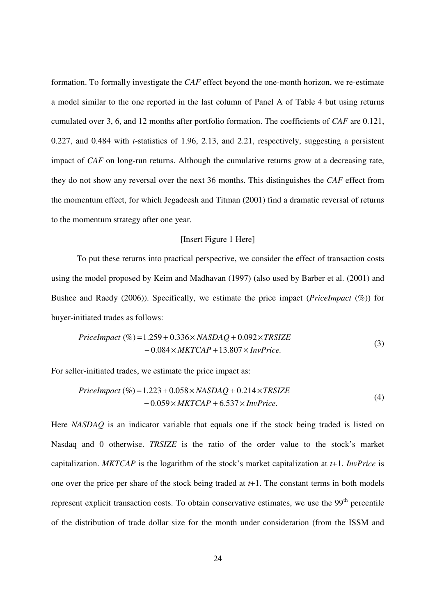formation. To formally investigate the *CAF* effect beyond the one-month horizon, we re-estimate a model similar to the one reported in the last column of Panel A of Table 4 but using returns cumulated over 3, 6, and 12 months after portfolio formation. The coefficients of *CAF* are 0.121, 0.227, and 0.484 with *t*-statistics of 1.96, 2.13, and 2.21, respectively, suggesting a persistent impact of *CAF* on long-run returns. Although the cumulative returns grow at a decreasing rate, they do not show any reversal over the next 36 months. This distinguishes the *CAF* effect from the momentum effect, for which Jegadeesh and Titman (2001) find a dramatic reversal of returns to the momentum strategy after one year.

#### [Insert Figure 1 Here]

To put these returns into practical perspective, we consider the effect of transaction costs using the model proposed by Keim and Madhavan (1997) (also used by Barber et al. (2001) and Bushee and Raedy (2006)). Specifically, we estimate the price impact (*PriceImpact* (%)) for buyer-initiated trades as follows:

$$
Price Impact (\%)=1.259 + 0.336 \times NASDAQ + 0.092 \times TRSIZE-0.084 \times MKTCAP + 13.807 \times InvPrice.
$$
\n(3)

For seller-initiated trades, we estimate the price impact as:

$$
Price Impact (\%)=1.223 + 0.058 \times NASDAQ + 0.214 \times TRSIZE-0.059 \times MKTCAP + 6.537 \times InvPrice.
$$
\n(4)

Here *NASDAQ* is an indicator variable that equals one if the stock being traded is listed on Nasdaq and 0 otherwise. *TRSIZE* is the ratio of the order value to the stock's market capitalization. *MKTCAP* is the logarithm of the stock's market capitalization at *t*+1. *InvPrice* is one over the price per share of the stock being traded at *t*+1. The constant terms in both models represent explicit transaction costs. To obtain conservative estimates, we use the 99<sup>th</sup> percentile of the distribution of trade dollar size for the month under consideration (from the ISSM and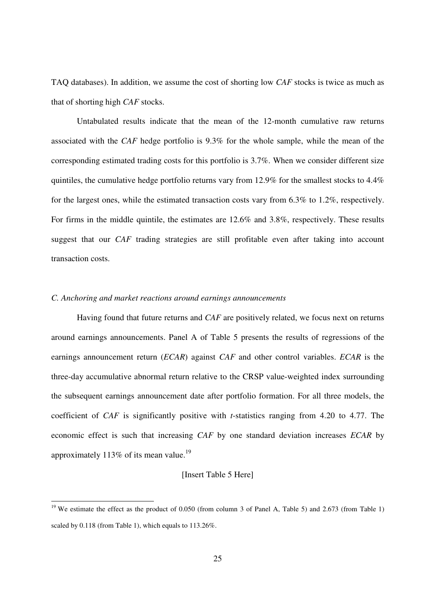TAQ databases). In addition, we assume the cost of shorting low *CAF* stocks is twice as much as that of shorting high *CAF* stocks.

Untabulated results indicate that the mean of the 12-month cumulative raw returns associated with the *CAF* hedge portfolio is 9.3% for the whole sample, while the mean of the corresponding estimated trading costs for this portfolio is 3.7%. When we consider different size quintiles, the cumulative hedge portfolio returns vary from 12.9% for the smallest stocks to 4.4% for the largest ones, while the estimated transaction costs vary from 6.3% to 1.2%, respectively. For firms in the middle quintile, the estimates are 12.6% and 3.8%, respectively. These results suggest that our *CAF* trading strategies are still profitable even after taking into account transaction costs.

# *C. Anchoring and market reactions around earnings announcements*

-

Having found that future returns and *CAF* are positively related, we focus next on returns around earnings announcements. Panel A of Table 5 presents the results of regressions of the earnings announcement return (*ECAR*) against *CAF* and other control variables. *ECAR* is the three-day accumulative abnormal return relative to the CRSP value-weighted index surrounding the subsequent earnings announcement date after portfolio formation. For all three models, the coefficient of *CAF* is significantly positive with *t*-statistics ranging from 4.20 to 4.77. The economic effect is such that increasing *CAF* by one standard deviation increases *ECAR* by approximately  $113\%$  of its mean value.<sup>19</sup>

# [Insert Table 5 Here]

<sup>&</sup>lt;sup>19</sup> We estimate the effect as the product of 0.050 (from column 3 of Panel A, Table 5) and 2.673 (from Table 1) scaled by 0.118 (from Table 1), which equals to 113.26%.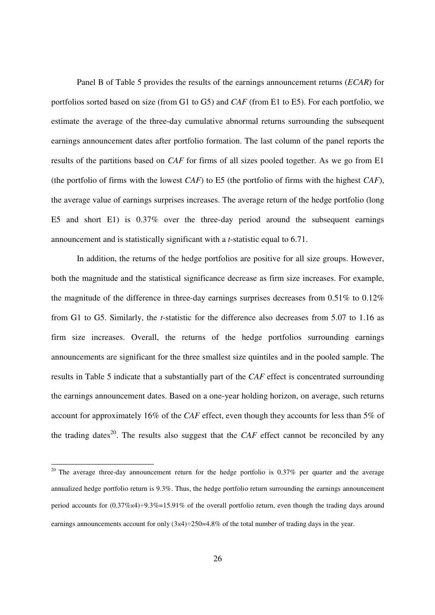Panel B of Table 5 provides the results of the earnings announcement returns (*ECAR*) for portfolios sorted based on size (from G1 to G5) and *CAF* (from E1 to E5). For each portfolio, we estimate the average of the three-day cumulative abnormal returns surrounding the subsequent earnings announcement dates after portfolio formation. The last column of the panel reports the results of the partitions based on *CAF* for firms of all sizes pooled together. As we go from E1 (the portfolio of firms with the lowest *CAF*) to E5 (the portfolio of firms with the highest *CAF*), the average value of earnings surprises increases. The average return of the hedge portfolio (long E5 and short E1) is 0.37% over the three-day period around the subsequent earnings announcement and is statistically significant with a *t*-statistic equal to 6.71.

In addition, the returns of the hedge portfolios are positive for all size groups. However, both the magnitude and the statistical significance decrease as firm size increases. For example, the magnitude of the difference in three-day earnings surprises decreases from 0.51% to 0.12% from G1 to G5. Similarly, the *t*-statistic for the difference also decreases from 5.07 to 1.16 as firm size increases. Overall, the returns of the hedge portfolios surrounding earnings announcements are significant for the three smallest size quintiles and in the pooled sample. The results in Table 5 indicate that a substantially part of the *CAF* effect is concentrated surrounding the earnings announcement dates. Based on a one-year holding horizon, on average, such returns account for approximately 16% of the *CAF* effect, even though they accounts for less than 5% of the trading dates<sup>20</sup>. The results also suggest that the *CAF* effect cannot be reconciled by any

-

<sup>&</sup>lt;sup>20</sup> The average three-day announcement return for the hedge portfolio is  $0.37\%$  per quarter and the average annualized hedge portfolio return is 9.3%. Thus, the hedge portfolio return surrounding the earnings announcement period accounts for  $(0.37\% \times 4) \div 9.3\% = 15.91\%$  of the overall portfolio return, even though the trading days around earnings announcements account for only  $(3x4) \div 250 = 4.8\%$  of the total number of trading days in the year.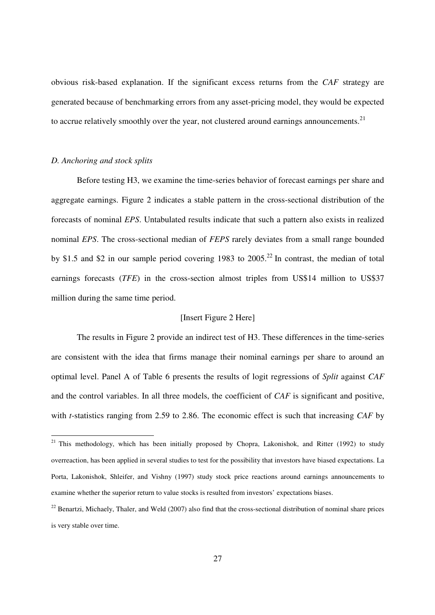obvious risk-based explanation. If the significant excess returns from the *CAF* strategy are generated because of benchmarking errors from any asset-pricing model, they would be expected to accrue relatively smoothly over the year, not clustered around earnings announcements.<sup>21</sup>

# *D. Anchoring and stock splits*

-

Before testing H3, we examine the time-series behavior of forecast earnings per share and aggregate earnings. Figure 2 indicates a stable pattern in the cross-sectional distribution of the forecasts of nominal *EPS*. Untabulated results indicate that such a pattern also exists in realized nominal *EPS*. The cross-sectional median of *FEPS* rarely deviates from a small range bounded by \$1.5 and \$2 in our sample period covering 1983 to  $2005<sup>22</sup>$  In contrast, the median of total earnings forecasts (*TFE*) in the cross-section almost triples from US\$14 million to US\$37 million during the same time period.

# [Insert Figure 2 Here]

The results in Figure 2 provide an indirect test of H3. These differences in the time-series are consistent with the idea that firms manage their nominal earnings per share to around an optimal level. Panel A of Table 6 presents the results of logit regressions of *Split* against *CAF* and the control variables. In all three models, the coefficient of *CAF* is significant and positive, with *t*-statistics ranging from 2.59 to 2.86. The economic effect is such that increasing *CAF* by

<sup>&</sup>lt;sup>21</sup> This methodology, which has been initially proposed by Chopra, Lakonishok, and Ritter (1992) to study overreaction, has been applied in several studies to test for the possibility that investors have biased expectations. La Porta, Lakonishok, Shleifer, and Vishny (1997) study stock price reactions around earnings announcements to examine whether the superior return to value stocks is resulted from investors' expectations biases.

 $^{22}$  Benartzi, Michaely, Thaler, and Weld (2007) also find that the cross-sectional distribution of nominal share prices is very stable over time.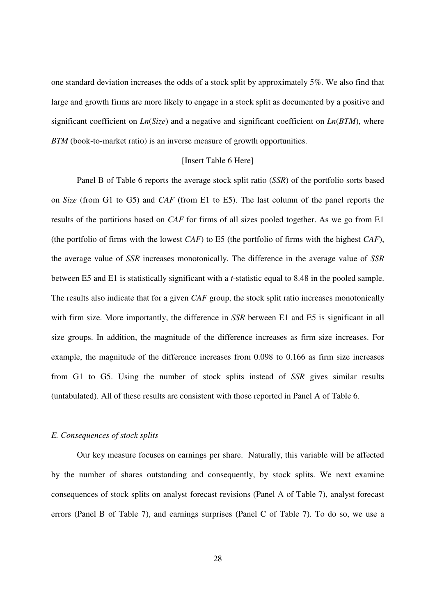one standard deviation increases the odds of a stock split by approximately 5%. We also find that large and growth firms are more likely to engage in a stock split as documented by a positive and significant coefficient on *Ln*(*Size*) and a negative and significant coefficient on *Ln*(*BTM*), where *BTM* (book-to-market ratio) is an inverse measure of growth opportunities.

#### [Insert Table 6 Here]

Panel B of Table 6 reports the average stock split ratio (*SSR*) of the portfolio sorts based on *Size* (from G1 to G5) and *CAF* (from E1 to E5). The last column of the panel reports the results of the partitions based on *CAF* for firms of all sizes pooled together. As we go from E1 (the portfolio of firms with the lowest *CAF*) to E5 (the portfolio of firms with the highest *CAF*), the average value of *SSR* increases monotonically. The difference in the average value of *SSR* between E5 and E1 is statistically significant with a *t*-statistic equal to 8.48 in the pooled sample. The results also indicate that for a given *CAF* group, the stock split ratio increases monotonically with firm size. More importantly, the difference in *SSR* between E1 and E5 is significant in all size groups. In addition, the magnitude of the difference increases as firm size increases. For example, the magnitude of the difference increases from 0.098 to 0.166 as firm size increases from G1 to G5. Using the number of stock splits instead of *SSR* gives similar results (untabulated). All of these results are consistent with those reported in Panel A of Table 6.

# *E. Consequences of stock splits*

Our key measure focuses on earnings per share. Naturally, this variable will be affected by the number of shares outstanding and consequently, by stock splits. We next examine consequences of stock splits on analyst forecast revisions (Panel A of Table 7), analyst forecast errors (Panel B of Table 7), and earnings surprises (Panel C of Table 7). To do so, we use a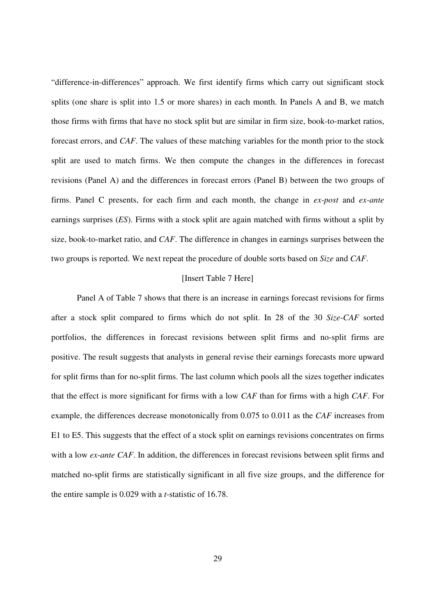"difference-in-differences" approach. We first identify firms which carry out significant stock splits (one share is split into 1.5 or more shares) in each month. In Panels A and B, we match those firms with firms that have no stock split but are similar in firm size, book-to-market ratios, forecast errors, and *CAF*. The values of these matching variables for the month prior to the stock split are used to match firms. We then compute the changes in the differences in forecast revisions (Panel A) and the differences in forecast errors (Panel B) between the two groups of firms. Panel C presents, for each firm and each month, the change in *ex-post* and *ex-ante* earnings surprises (*ES*). Firms with a stock split are again matched with firms without a split by size, book-to-market ratio, and *CAF*. The difference in changes in earnings surprises between the two groups is reported. We next repeat the procedure of double sorts based on *Size* and *CAF*.

# [Insert Table 7 Here]

Panel A of Table 7 shows that there is an increase in earnings forecast revisions for firms after a stock split compared to firms which do not split. In 28 of the 30 *Size*-*CAF* sorted portfolios, the differences in forecast revisions between split firms and no-split firms are positive. The result suggests that analysts in general revise their earnings forecasts more upward for split firms than for no-split firms. The last column which pools all the sizes together indicates that the effect is more significant for firms with a low *CAF* than for firms with a high *CAF*. For example, the differences decrease monotonically from 0.075 to 0.011 as the *CAF* increases from E1 to E5. This suggests that the effect of a stock split on earnings revisions concentrates on firms with a low *ex-ante CAF*. In addition, the differences in forecast revisions between split firms and matched no-split firms are statistically significant in all five size groups, and the difference for the entire sample is 0.029 with a *t*-statistic of 16.78.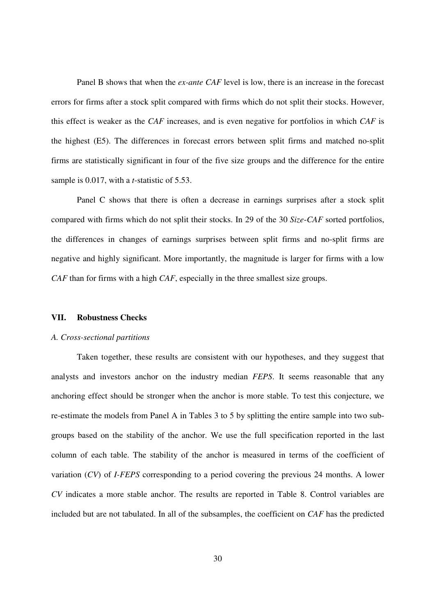Panel B shows that when the *ex-ante CAF* level is low, there is an increase in the forecast errors for firms after a stock split compared with firms which do not split their stocks. However, this effect is weaker as the *CAF* increases, and is even negative for portfolios in which *CAF* is the highest (E5). The differences in forecast errors between split firms and matched no-split firms are statistically significant in four of the five size groups and the difference for the entire sample is 0.017, with a *t*-statistic of 5.53.

Panel C shows that there is often a decrease in earnings surprises after a stock split compared with firms which do not split their stocks. In 29 of the 30 *Size*-*CAF* sorted portfolios, the differences in changes of earnings surprises between split firms and no-split firms are negative and highly significant. More importantly, the magnitude is larger for firms with a low *CAF* than for firms with a high *CAF*, especially in the three smallest size groups.

# **VII. Robustness Checks**

#### *A. Cross-sectional partitions*

Taken together, these results are consistent with our hypotheses, and they suggest that analysts and investors anchor on the industry median *FEPS*. It seems reasonable that any anchoring effect should be stronger when the anchor is more stable. To test this conjecture, we re-estimate the models from Panel A in Tables 3 to 5 by splitting the entire sample into two subgroups based on the stability of the anchor. We use the full specification reported in the last column of each table. The stability of the anchor is measured in terms of the coefficient of variation (*CV*) of *I-FEPS* corresponding to a period covering the previous 24 months. A lower *CV* indicates a more stable anchor. The results are reported in Table 8. Control variables are included but are not tabulated. In all of the subsamples, the coefficient on *CAF* has the predicted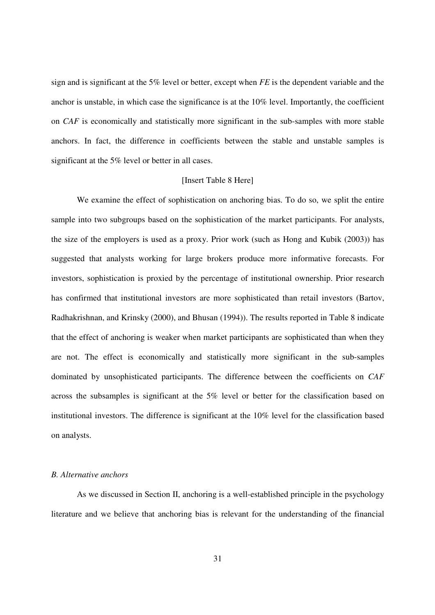sign and is significant at the 5% level or better, except when *FE* is the dependent variable and the anchor is unstable, in which case the significance is at the 10% level. Importantly, the coefficient on *CAF* is economically and statistically more significant in the sub-samples with more stable anchors. In fact, the difference in coefficients between the stable and unstable samples is significant at the 5% level or better in all cases.

#### [Insert Table 8 Here]

We examine the effect of sophistication on anchoring bias. To do so, we split the entire sample into two subgroups based on the sophistication of the market participants. For analysts, the size of the employers is used as a proxy. Prior work (such as Hong and Kubik (2003)) has suggested that analysts working for large brokers produce more informative forecasts. For investors, sophistication is proxied by the percentage of institutional ownership. Prior research has confirmed that institutional investors are more sophisticated than retail investors (Bartov, Radhakrishnan, and Krinsky (2000), and Bhusan (1994)). The results reported in Table 8 indicate that the effect of anchoring is weaker when market participants are sophisticated than when they are not. The effect is economically and statistically more significant in the sub-samples dominated by unsophisticated participants. The difference between the coefficients on *CAF* across the subsamples is significant at the 5% level or better for the classification based on institutional investors. The difference is significant at the 10% level for the classification based on analysts.

# *B. Alternative anchors*

As we discussed in Section II, anchoring is a well-established principle in the psychology literature and we believe that anchoring bias is relevant for the understanding of the financial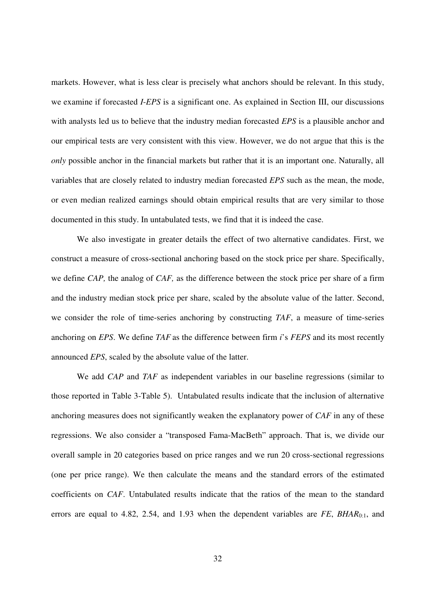markets. However, what is less clear is precisely what anchors should be relevant. In this study, we examine if forecasted *I*-*EPS* is a significant one. As explained in Section III, our discussions with analysts led us to believe that the industry median forecasted *EPS* is a plausible anchor and our empirical tests are very consistent with this view. However, we do not argue that this is the *only* possible anchor in the financial markets but rather that it is an important one. Naturally, all variables that are closely related to industry median forecasted *EPS* such as the mean, the mode, or even median realized earnings should obtain empirical results that are very similar to those documented in this study. In untabulated tests, we find that it is indeed the case.

We also investigate in greater details the effect of two alternative candidates. First, we construct a measure of cross-sectional anchoring based on the stock price per share. Specifically, we define *CAP,* the analog of *CAF,* as the difference between the stock price per share of a firm and the industry median stock price per share, scaled by the absolute value of the latter. Second, we consider the role of time-series anchoring by constructing *TAF*, a measure of time-series anchoring on *EPS*. We define *TAF* as the difference between firm *i*'s *FEPS* and its most recently announced *EPS*, scaled by the absolute value of the latter.

We add *CAP* and *TAF* as independent variables in our baseline regressions (similar to those reported in Table 3-Table 5). Untabulated results indicate that the inclusion of alternative anchoring measures does not significantly weaken the explanatory power of *CAF* in any of these regressions. We also consider a "transposed Fama-MacBeth" approach. That is, we divide our overall sample in 20 categories based on price ranges and we run 20 cross-sectional regressions (one per price range). We then calculate the means and the standard errors of the estimated coefficients on *CAF*. Untabulated results indicate that the ratios of the mean to the standard errors are equal to 4.82, 2.54, and 1.93 when the dependent variables are *FE*, *BHAR*<sub>0:1</sub>, and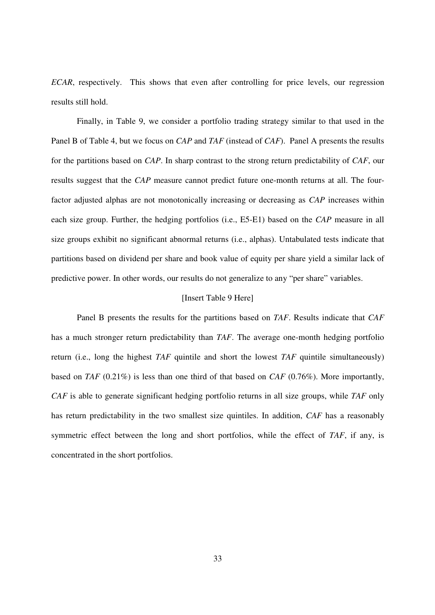*ECAR*, respectively. This shows that even after controlling for price levels, our regression results still hold.

Finally, in Table 9, we consider a portfolio trading strategy similar to that used in the Panel B of Table 4, but we focus on *CAP* and *TAF* (instead of *CAF*). Panel A presents the results for the partitions based on *CAP*. In sharp contrast to the strong return predictability of *CAF*, our results suggest that the *CAP* measure cannot predict future one-month returns at all. The fourfactor adjusted alphas are not monotonically increasing or decreasing as *CAP* increases within each size group. Further, the hedging portfolios (i.e., E5-E1) based on the *CAP* measure in all size groups exhibit no significant abnormal returns (i.e., alphas). Untabulated tests indicate that partitions based on dividend per share and book value of equity per share yield a similar lack of predictive power. In other words, our results do not generalize to any "per share" variables.

# [Insert Table 9 Here]

Panel B presents the results for the partitions based on *TAF*. Results indicate that *CAF* has a much stronger return predictability than *TAF*. The average one-month hedging portfolio return (i.e., long the highest *TAF* quintile and short the lowest *TAF* quintile simultaneously) based on *TAF* (0.21%) is less than one third of that based on *CAF* (0.76%). More importantly, *CAF* is able to generate significant hedging portfolio returns in all size groups, while *TAF* only has return predictability in the two smallest size quintiles. In addition, *CAF* has a reasonably symmetric effect between the long and short portfolios, while the effect of *TAF*, if any, is concentrated in the short portfolios.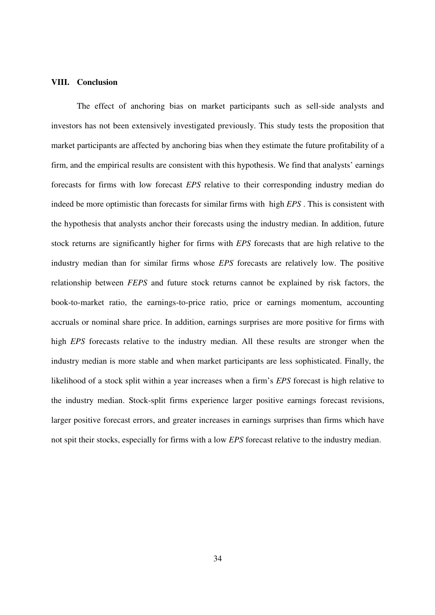# **VIII. Conclusion**

The effect of anchoring bias on market participants such as sell-side analysts and investors has not been extensively investigated previously. This study tests the proposition that market participants are affected by anchoring bias when they estimate the future profitability of a firm, and the empirical results are consistent with this hypothesis. We find that analysts' earnings forecasts for firms with low forecast *EPS* relative to their corresponding industry median do indeed be more optimistic than forecasts for similar firms with high *EPS* . This is consistent with the hypothesis that analysts anchor their forecasts using the industry median. In addition, future stock returns are significantly higher for firms with *EPS* forecasts that are high relative to the industry median than for similar firms whose *EPS* forecasts are relatively low. The positive relationship between *FEPS* and future stock returns cannot be explained by risk factors, the book-to-market ratio, the earnings-to-price ratio, price or earnings momentum, accounting accruals or nominal share price. In addition, earnings surprises are more positive for firms with high *EPS* forecasts relative to the industry median. All these results are stronger when the industry median is more stable and when market participants are less sophisticated. Finally, the likelihood of a stock split within a year increases when a firm's *EPS* forecast is high relative to the industry median. Stock-split firms experience larger positive earnings forecast revisions, larger positive forecast errors, and greater increases in earnings surprises than firms which have not spit their stocks, especially for firms with a low *EPS* forecast relative to the industry median.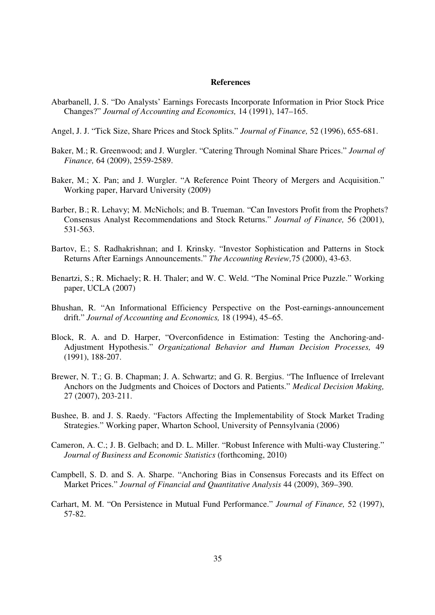#### **References**

- Abarbanell, J. S. "Do Analysts' Earnings Forecasts Incorporate Information in Prior Stock Price Changes?" *Journal of Accounting and Economics,* 14 (1991), 147–165.
- Angel, J. J. "Tick Size, Share Prices and Stock Splits." *Journal of Finance,* 52 (1996), 655-681.
- Baker, M.; R. Greenwood; and J. Wurgler. "Catering Through Nominal Share Prices." *Journal of Finance,* 64 (2009), 2559-2589.
- Baker, M.; X. Pan; and J. Wurgler. "A Reference Point Theory of Mergers and Acquisition." Working paper, Harvard University (2009)
- Barber, B.; R. Lehavy; M. McNichols; and B. Trueman. "Can Investors Profit from the Prophets? Consensus Analyst Recommendations and Stock Returns." *Journal of Finance,* 56 (2001), 531-563.
- Bartov, E.; S. Radhakrishnan; and I. Krinsky. "Investor Sophistication and Patterns in Stock Returns After Earnings Announcements." *The Accounting Review,*75 (2000), 43-63.
- Benartzi, S.; R. Michaely; R. H. Thaler; and W. C. Weld. "The Nominal Price Puzzle." Working paper, UCLA (2007)
- Bhushan, R. "An Informational Efficiency Perspective on the Post-earnings-announcement drift." *Journal of Accounting and Economics,* 18 (1994), 45–65.
- Block, R. A. and D. Harper, "Overconfidence in Estimation: Testing the Anchoring-and-Adjustment Hypothesis." *Organizational Behavior and Human Decision Processes,* 49 (1991), 188-207.
- Brewer, N. T.; G. B. Chapman; J. A. Schwartz; and G. R. Bergius. "The Influence of Irrelevant Anchors on the Judgments and Choices of Doctors and Patients." *Medical Decision Making,* 27 (2007), 203-211.
- Bushee, B. and J. S. Raedy. "Factors Affecting the Implementability of Stock Market Trading Strategies." Working paper, Wharton School, University of Pennsylvania (2006)
- Cameron, A. C.; J. B. Gelbach; and D. L. Miller. "Robust Inference with Multi-way Clustering." *Journal of Business and Economic Statistics* (forthcoming, 2010)
- Campbell, S. D. and S. A. Sharpe. "Anchoring Bias in Consensus Forecasts and its Effect on Market Prices." *Journal of Financial and Quantitative Analysis* 44 (2009), 369–390.
- Carhart, M. M. "On Persistence in Mutual Fund Performance." *Journal of Finance,* 52 (1997), 57-82.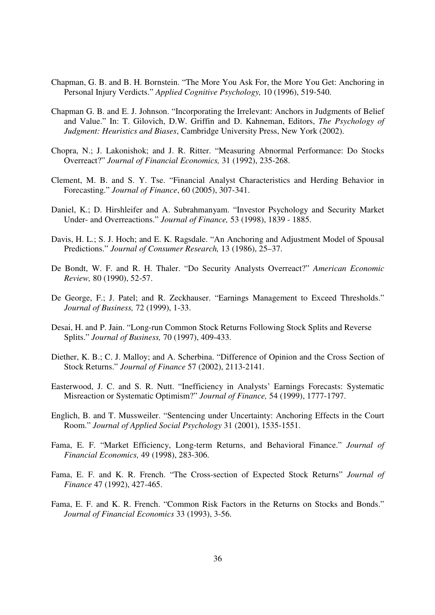- Chapman, G. B. and B. H. Bornstein. "The More You Ask For, the More You Get: Anchoring in Personal Injury Verdicts." *Applied Cognitive Psychology,* 10 (1996), 519-540.
- Chapman G. B. and E. J. Johnson. "Incorporating the Irrelevant: Anchors in Judgments of Belief and Value." In: T. Gilovich, D.W. Griffin and D. Kahneman, Editors, *The Psychology of Judgment: Heuristics and Biases*, Cambridge University Press, New York (2002).
- Chopra, N.; J. Lakonishok; and J. R. Ritter. "Measuring Abnormal Performance: Do Stocks Overreact?" *Journal of Financial Economics,* 31 (1992), 235-268.
- Clement, M. B. and S. Y. Tse. "Financial Analyst Characteristics and Herding Behavior in Forecasting." *Journal of Finance*, 60 (2005), 307-341.
- Daniel, K.; D. Hirshleifer and A. Subrahmanyam. "Investor Psychology and Security Market Under- and Overreactions." *Journal of Finance,* 53 (1998), 1839 - 1885.
- Davis, H. L.; S. J. Hoch; and E. K. Ragsdale. "An Anchoring and Adjustment Model of Spousal Predictions." *Journal of Consumer Research,* 13 (1986), 25–37.
- De Bondt, W. F. and R. H. Thaler. "Do Security Analysts Overreact?" *American Economic Review,* 80 (1990), 52-57.
- De George, F.; J. Patel; and R. Zeckhauser. "Earnings Management to Exceed Thresholds." *Journal of Business,* 72 (1999), 1-33.
- Desai, H. and P. Jain. "Long-run Common Stock Returns Following Stock Splits and Reverse Splits." *Journal of Business,* 70 (1997), 409-433.
- Diether, K. B.; C. J. Malloy; and A. Scherbina. "Difference of Opinion and the Cross Section of Stock Returns." *Journal of Finance* 57 (2002), 2113-2141.
- Easterwood, J. C. and S. R. Nutt. "Inefficiency in Analysts' Earnings Forecasts: Systematic Misreaction or Systematic Optimism?" *Journal of Finance,* 54 (1999), 1777-1797.
- Englich, B. and T. Mussweiler. "Sentencing under Uncertainty: Anchoring Effects in the Court Room." *Journal of Applied Social Psychology* 31 (2001), 1535-1551.
- Fama, E. F. "Market Efficiency, Long-term Returns, and Behavioral Finance." *Journal of Financial Economics,* 49 (1998), 283-306.
- Fama, E. F. and K. R. French. "The Cross-section of Expected Stock Returns" *Journal of Finance* 47 (1992), 427-465.
- Fama, E. F. and K. R. French. "Common Risk Factors in the Returns on Stocks and Bonds." *Journal of Financial Economics* 33 (1993), 3-56.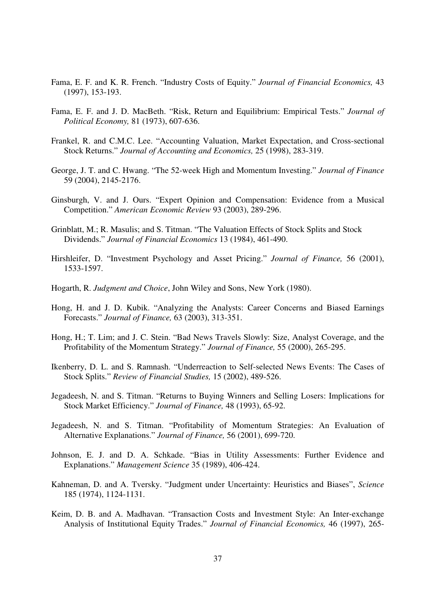- Fama, E. F. and K. R. French. "Industry Costs of Equity." *Journal of Financial Economics,* 43 (1997), 153-193.
- Fama, E. F. and J. D. MacBeth. "Risk, Return and Equilibrium: Empirical Tests." *Journal of Political Economy,* 81 (1973), 607-636.
- Frankel, R. and C.M.C. Lee. "Accounting Valuation, Market Expectation, and Cross-sectional Stock Returns." *Journal of Accounting and Economics,* 25 (1998), 283-319.
- George, J. T. and C. Hwang. "The 52-week High and Momentum Investing." *Journal of Finance* 59 (2004), 2145-2176.
- Ginsburgh, V. and J. Ours. "Expert Opinion and Compensation: Evidence from a Musical Competition." *American Economic Review* 93 (2003), 289-296.
- Grinblatt, M.; R. Masulis; and S. Titman. "The Valuation Effects of Stock Splits and Stock Dividends." *Journal of Financial Economics* 13 (1984), 461-490.
- Hirshleifer, D. "Investment Psychology and Asset Pricing." *Journal of Finance,* 56 (2001), 1533-1597.
- Hogarth, R. *Judgment and Choice*, John Wiley and Sons, New York (1980).
- Hong, H. and J. D. Kubik. "Analyzing the Analysts: Career Concerns and Biased Earnings Forecasts." *Journal of Finance,* 63 (2003), 313-351.
- Hong, H.; T. Lim; and J. C. Stein. "Bad News Travels Slowly: Size, Analyst Coverage, and the Profitability of the Momentum Strategy." *Journal of Finance,* 55 (2000), 265-295.
- Ikenberry, D. L. and S. Ramnash. "Underreaction to Self-selected News Events: The Cases of Stock Splits." *Review of Financial Studies,* 15 (2002), 489-526.
- Jegadeesh, N. and S. Titman. "Returns to Buying Winners and Selling Losers: Implications for Stock Market Efficiency." *Journal of Finance,* 48 (1993), 65-92.
- Jegadeesh, N. and S. Titman. "Profitability of Momentum Strategies: An Evaluation of Alternative Explanations." *Journal of Finance,* 56 (2001), 699-720.
- Johnson, E. J. and D. A. Schkade. "Bias in Utility Assessments: Further Evidence and Explanations." *Management Science* 35 (1989), 406-424.
- Kahneman, D. and A. Tversky. "Judgment under Uncertainty: Heuristics and Biases", *Science* 185 (1974), 1124-1131.
- Keim, D. B. and A. Madhavan. "Transaction Costs and Investment Style: An Inter-exchange Analysis of Institutional Equity Trades." *Journal of Financial Economics,* 46 (1997), 265-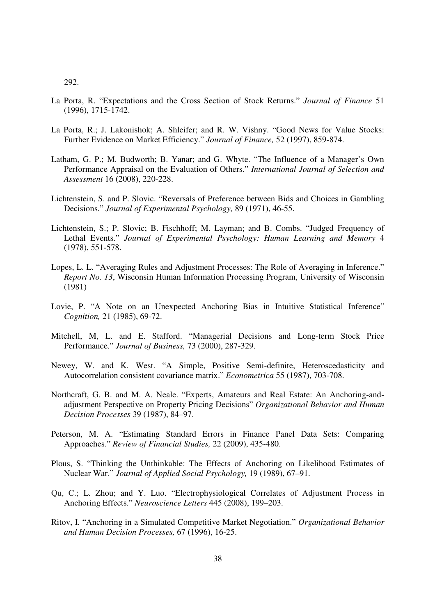- La Porta, R. "Expectations and the Cross Section of Stock Returns." *Journal of Finance* 51 (1996), 1715-1742.
- La Porta, R.; J. Lakonishok; A. Shleifer; and R. W. Vishny. "Good News for Value Stocks: Further Evidence on Market Efficiency." *Journal of Finance,* 52 (1997), 859-874.
- Latham, G. P.; M. Budworth; B. Yanar; and G. Whyte. "The Influence of a Manager's Own Performance Appraisal on the Evaluation of Others." *International Journal of Selection and Assessment* 16 (2008), 220-228.
- Lichtenstein, S. and P. Slovic. "Reversals of Preference between Bids and Choices in Gambling Decisions." *Journal of Experimental Psychology,* 89 (1971), 46-55.
- Lichtenstein, S.; P. Slovic; B. Fischhoff; M. Layman; and B. Combs. "Judged Frequency of Lethal Events." *Journal of Experimental Psychology: Human Learning and Memory* 4 (1978), 551-578.
- Lopes, L. L. "Averaging Rules and Adjustment Processes: The Role of Averaging in Inference." *Report No. 13*, Wisconsin Human Information Processing Program, University of Wisconsin (1981)
- Lovie, P. "A Note on an Unexpected Anchoring Bias in Intuitive Statistical Inference" *Cognition,* 21 (1985), 69-72.
- Mitchell, M, L. and E. Stafford. "Managerial Decisions and Long-term Stock Price Performance." *Journal of Business,* 73 (2000), 287-329.
- Newey, W. and K. West. "A Simple, Positive Semi-definite, Heteroscedasticity and Autocorrelation consistent covariance matrix." *Econometrica* 55 (1987), 703-708.
- Northcraft, G. B. and M. A. Neale. "Experts, Amateurs and Real Estate: An Anchoring-andadjustment Perspective on Property Pricing Decisions" *Organizational Behavior and Human Decision Processes* 39 (1987), 84–97.
- Peterson, M. A. "Estimating Standard Errors in Finance Panel Data Sets: Comparing Approaches." *Review of Financial Studies,* 22 (2009), 435-480.
- Plous, S. "Thinking the Unthinkable: The Effects of Anchoring on Likelihood Estimates of Nuclear War." *Journal of Applied Social Psychology,* 19 (1989), 67–91.
- Qu, C.; L. Zhou; and Y. Luo. "Electrophysiological Correlates of Adjustment Process in Anchoring Effects." *Neuroscience Letters* 445 (2008), 199–203.
- Ritov, I. "Anchoring in a Simulated Competitive Market Negotiation." *Organizational Behavior and Human Decision Processes,* 67 (1996), 16-25.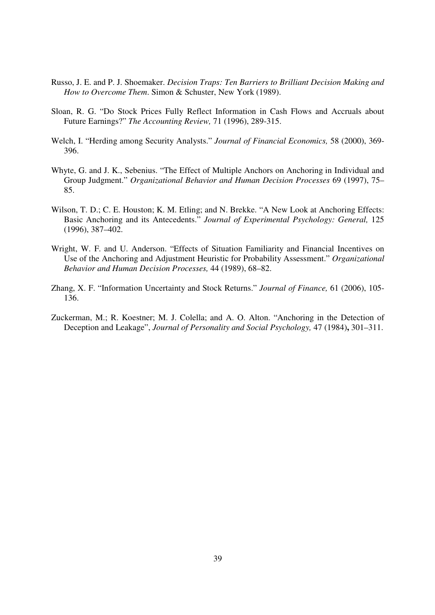- Russo, J. E. and P. J. Shoemaker. *Decision Traps: Ten Barriers to Brilliant Decision Making and How to Overcome Them*. Simon & Schuster, New York (1989).
- Sloan, R. G. "Do Stock Prices Fully Reflect Information in Cash Flows and Accruals about Future Earnings?" *The Accounting Review,* 71 (1996), 289-315.
- Welch, I. "Herding among Security Analysts." *Journal of Financial Economics,* 58 (2000), 369- 396.
- Whyte, G. and J. K., Sebenius. "The Effect of Multiple Anchors on Anchoring in Individual and Group Judgment." *Organizational Behavior and Human Decision Processes* 69 (1997), 75– 85.
- Wilson, T. D.; C. E. Houston; K. M. Etling; and N. Brekke. "A New Look at Anchoring Effects: Basic Anchoring and its Antecedents." *Journal of Experimental Psychology: General,* 125 (1996), 387–402.
- Wright, W. F. and U. Anderson. "Effects of Situation Familiarity and Financial Incentives on Use of the Anchoring and Adjustment Heuristic for Probability Assessment." *Organizational Behavior and Human Decision Processes,* 44 (1989), 68–82.
- Zhang, X. F. "Information Uncertainty and Stock Returns." *Journal of Finance,* 61 (2006), 105- 136.
- Zuckerman, M.; R. Koestner; M. J. Colella; and A. O. Alton. "Anchoring in the Detection of Deception and Leakage", *Journal of Personality and Social Psychology,* 47 (1984)**,** 301–311.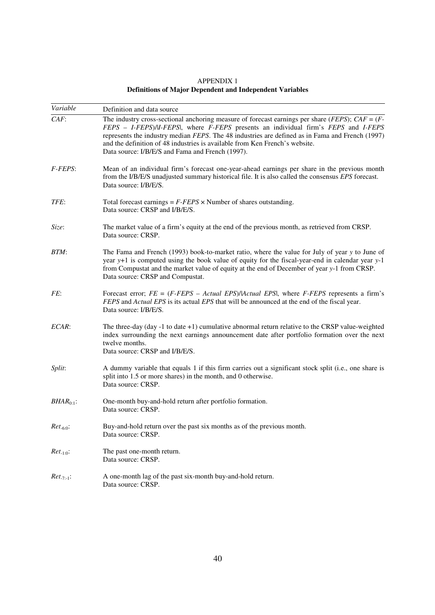APPENDIX 1 **Definitions of Major Dependent and Independent Variables** 

| Variable       | Definition and data source                                                                                                                                                                                                                                                                                                                                                                                                                  |
|----------------|---------------------------------------------------------------------------------------------------------------------------------------------------------------------------------------------------------------------------------------------------------------------------------------------------------------------------------------------------------------------------------------------------------------------------------------------|
| $CAF$ :        | The industry cross-sectional anchoring measure of forecast earnings per share ( <i>FEPS</i> ); $CAF = (F - F)$<br>FEPS - I-FEPS)/II-FEPS/, where F-FEPS presents an individual firm's FEPS and I-FEPS<br>represents the industry median FEPS. The 48 industries are defined as in Fama and French (1997)<br>and the definition of 48 industries is available from Ken French's website.<br>Data source: I/B/E/S and Fama and French (1997). |
| F-FEPS:        | Mean of an individual firm's forecast one-year-ahead earnings per share in the previous month<br>from the I/B/E/S unadjusted summary historical file. It is also called the consensus EPS forecast.<br>Data source: I/B/E/S.                                                                                                                                                                                                                |
| TFE:           | Total forecast earnings = $F$ - $FEPS \times$ Number of shares outstanding.<br>Data source: CRSP and I/B/E/S.                                                                                                                                                                                                                                                                                                                               |
| Size:          | The market value of a firm's equity at the end of the previous month, as retrieved from CRSP.<br>Data source: CRSP.                                                                                                                                                                                                                                                                                                                         |
| BTM:           | The Fama and French (1993) book-to-market ratio, where the value for July of year y to June of<br>year y+1 is computed using the book value of equity for the fiscal-year-end in calendar year y-1<br>from Compustat and the market value of equity at the end of December of year y-1 from CRSP.<br>Data source: CRSP and Compustat.                                                                                                       |
| FE:            | Forecast error; $FE = (F - FES - Actual EPS)/ Actual EPS $ , where $F - FEPS$ represents a firm's<br>FEPS and Actual EPS is its actual EPS that will be announced at the end of the fiscal year.<br>Data source: I/B/E/S.                                                                                                                                                                                                                   |
| ECAR:          | The three-day (day -1 to date +1) cumulative abnormal return relative to the CRSP value-weighted<br>index surrounding the next earnings announcement date after portfolio formation over the next<br>twelve months.<br>Data source: CRSP and I/B/E/S.                                                                                                                                                                                       |
| Split:         | A dummy variable that equals 1 if this firm carries out a significant stock split (i.e., one share is<br>split into 1.5 or more shares) in the month, and 0 otherwise.<br>Data source: CRSP.                                                                                                                                                                                                                                                |
| $BHAR_{0:1}$ : | One-month buy-and-hold return after portfolio formation.<br>Data source: CRSP.                                                                                                                                                                                                                                                                                                                                                              |
| $Ret_{-6:0}$ : | Buy-and-hold return over the past six months as of the previous month.<br>Data source: CRSP.                                                                                                                                                                                                                                                                                                                                                |
| $Ret_{-1:0}:$  | The past one-month return.<br>Data source: CRSP.                                                                                                                                                                                                                                                                                                                                                                                            |
| $Ret_{-7:-1}:$ | A one-month lag of the past six-month buy-and-hold return.<br>Data source: CRSP.                                                                                                                                                                                                                                                                                                                                                            |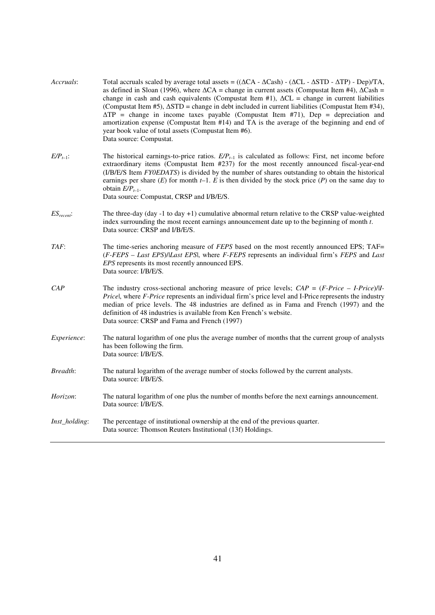| Accruals:       | Total accruals scaled by average total assets = $((\Delta CA - \Delta Cash) - (\Delta CL - \Delta STD - \Delta TP) - Dep)/TA$ ,<br>as defined in Sloan (1996), where $\Delta CA$ = change in current assets (Compustat Item #4), $\Delta Cash$ =<br>change in cash and cash equivalents (Compustat Item #1), $\Delta CL$ = change in current liabilities<br>(Compustat Item #5), $\Delta$ STD = change in debt included in current liabilities (Compustat Item #34),<br>$\Delta TP$ = change in income taxes payable (Compustat Item #71), Dep = depreciation and<br>amortization expense (Compustat Item #14) and TA is the average of the beginning and end of<br>year book value of total assets (Compustat Item #6).<br>Data source: Compustat. |
|-----------------|-----------------------------------------------------------------------------------------------------------------------------------------------------------------------------------------------------------------------------------------------------------------------------------------------------------------------------------------------------------------------------------------------------------------------------------------------------------------------------------------------------------------------------------------------------------------------------------------------------------------------------------------------------------------------------------------------------------------------------------------------------|
| $E/P_{t-1}$ :   | The historical earnings-to-price ratios. $E/P_{t-1}$ is calculated as follows: First, net income before<br>extraordinary items (Compustat Item #237) for the most recently announced fiscal-year-end<br>(I/B/E/S Item FY0EDATS) is divided by the number of shares outstanding to obtain the historical<br>earnings per share $(E)$ for month $t-1$ . E is then divided by the stock price $(P)$ on the same day to<br>obtain $E/P_{t-1}$ .<br>Data source: Compustat, CRSP and I/B/E/S.                                                                                                                                                                                                                                                            |
| $ES_{recent}$ : | The three-day (day -1 to day +1) cumulative abnormal return relative to the CRSP value-weighted<br>index surrounding the most recent earnings announcement date up to the beginning of month $t$ .<br>Data source: CRSP and I/B/E/S.                                                                                                                                                                                                                                                                                                                                                                                                                                                                                                                |
| TAF:            | The time-series anchoring measure of FEPS based on the most recently announced EPS; TAF=<br>(F-FEPS - Last EPS)/Last EPS , where F-FEPS represents an individual firm's FEPS and Last<br>EPS represents its most recently announced EPS.<br>Data source: I/B/E/S.                                                                                                                                                                                                                                                                                                                                                                                                                                                                                   |
| CAP             | The industry cross-sectional anchoring measure of price levels; $CAP = (F\text{-}Price - I\text{-}Price)/II\text{-}$<br>Pricel, where F-Price represents an individual firm's price level and I-Price represents the industry<br>median of price levels. The 48 industries are defined as in Fama and French (1997) and the<br>definition of 48 industries is available from Ken French's website.<br>Data source: CRSP and Fama and French (1997)                                                                                                                                                                                                                                                                                                  |
| Experience:     | The natural logarithm of one plus the average number of months that the current group of analysts<br>has been following the firm.<br>Data source: I/B/E/S.                                                                                                                                                                                                                                                                                                                                                                                                                                                                                                                                                                                          |
| Breadth:        | The natural logarithm of the average number of stocks followed by the current analysts.<br>Data source: I/B/E/S.                                                                                                                                                                                                                                                                                                                                                                                                                                                                                                                                                                                                                                    |
| Horizon:        | The natural logarithm of one plus the number of months before the next earnings announcement.<br>Data source: I/B/E/S.                                                                                                                                                                                                                                                                                                                                                                                                                                                                                                                                                                                                                              |
| Inst_holding:   | The percentage of institutional ownership at the end of the previous quarter.<br>Data source: Thomson Reuters Institutional (13f) Holdings.                                                                                                                                                                                                                                                                                                                                                                                                                                                                                                                                                                                                         |
|                 |                                                                                                                                                                                                                                                                                                                                                                                                                                                                                                                                                                                                                                                                                                                                                     |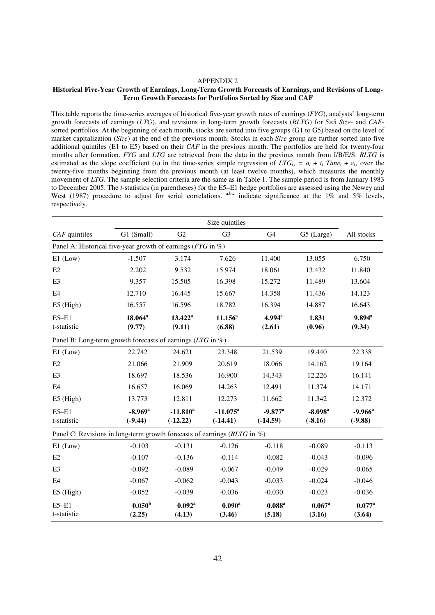#### APPENDIX 2

#### **Historical Five-Year Growth of Earnings, Long-Term Growth Forecasts of Earnings, and Revisions of Long-Term Growth Forecasts for Portfolios Sorted by Size and CAF**

This table reports the time-series averages of historical five-year growth rates of earnings (*FYG*), analysts' long-term growth forecasts of earnings (*LTG*), and revisions in long-term growth forecasts (*RLTG*) for 5×5 *Size*- and *CAF*sorted portfolios. At the beginning of each month, stocks are sorted into five groups (G1 to G5) based on the level of market capitalization (*Size*) at the end of the previous month. Stocks in each *Size* group are further sorted into five additional quintiles (E1 to E5) based on their *CAF* in the previous month. The portfolios are held for twenty-four months after formation. *FYG* and *LTG* are retrieved from the data in the previous month from I/B/E/S. *RLTG* is estimated as the slope coefficient  $(t_i)$  in the time-series simple regression of  $LTG_{i,t} = a_i + t_i$  Time<sub>t</sub> +  $\varepsilon_{i,t}$  over the twenty-five months beginning from the previous month (at least twelve months), which measures the monthly movement of *LTG*. The sample selection criteria are the same as in Table 1. The sample period is from January 1983 to December 2005. The *t*-statistics (in parentheses) for the E5–E1 hedge portfolios are assessed using the Newey and West (1987) procedure to adjust for serial correlations. a,b,c indicate significance at the 1% and 5% levels, respectively.

|                                                                          |                                    |                           | Size quintiles                  |                                     |                                    |                                |  |  |  |
|--------------------------------------------------------------------------|------------------------------------|---------------------------|---------------------------------|-------------------------------------|------------------------------------|--------------------------------|--|--|--|
| $CAF$ quintiles                                                          | G1 (Small)                         | G2                        | G <sub>3</sub>                  | G <sub>4</sub>                      | G5 (Large)                         | All stocks                     |  |  |  |
| Panel A: Historical five-year growth of earnings ( $FYG$ in %)           |                                    |                           |                                 |                                     |                                    |                                |  |  |  |
| $E1$ (Low)                                                               | $-1.507$                           | 3.174                     | 7.626                           | 11.400                              | 13.055                             | 6.750                          |  |  |  |
| E2                                                                       | 2.202                              | 9.532                     | 15.974                          | 18.061                              | 13.432                             | 11.840                         |  |  |  |
| E <sub>3</sub>                                                           | 9.357                              | 15.505                    | 16.398                          | 15.272                              | 11.489                             | 13.604                         |  |  |  |
| E4                                                                       | 12.710                             | 16.445                    | 15.667                          | 14.358                              | 11.436                             | 14.123                         |  |  |  |
| $E5$ (High)                                                              | 16.557                             | 16.596                    | 18.782                          | 16.394                              | 14.887                             | 16.643                         |  |  |  |
| $E5-E1$<br>t-statistic                                                   | $18.064^a$<br>(9.77)               | $13.422^a$<br>(9.11)      | $11.156^a$<br>(6.88)            | $4.994^{\rm a}$<br>(2.61)           | 1.831<br>(0.96)                    | $9.894^{\mathrm{a}}$<br>(9.34) |  |  |  |
| Panel B: Long-term growth forecasts of earnings (LTG in %)               |                                    |                           |                                 |                                     |                                    |                                |  |  |  |
| $E1$ (Low)                                                               | 22.742                             | 24.621                    | 23.348                          | 21.539                              | 19.440                             | 22.338                         |  |  |  |
| E2                                                                       | 21.066                             | 21.909                    | 20.619                          | 18.066                              | 14.162                             | 19.164                         |  |  |  |
| E <sub>3</sub>                                                           | 18.697                             | 18.536                    | 16.900                          | 14.343                              | 12.226                             | 16.141                         |  |  |  |
| E4                                                                       | 16.657                             | 16.069                    | 14.263                          | 12.491                              | 11.374                             | 14.171                         |  |  |  |
| $E5$ (High)                                                              | 13.773                             | 12.811                    | 12.273                          | 11.662                              | 11.342                             | 12.372                         |  |  |  |
| $E5-E1$<br>t-statistic                                                   | $-8.969$ <sup>a</sup><br>$(-9.44)$ | $-11.810^a$<br>$(-12.22)$ | $-11.075^{\circ}$<br>$(-14.41)$ | $-9.877$ <sup>a</sup><br>$(-14.59)$ | $-8.098$ <sup>a</sup><br>$(-8.16)$ | $-9.966^a$<br>$(-9.88)$        |  |  |  |
| Panel C: Revisions in long-term growth forecasts of earnings (RLTG in %) |                                    |                           |                                 |                                     |                                    |                                |  |  |  |
| $E1$ (Low)                                                               | $-0.103$                           | $-0.131$                  | $-0.126$                        | $-0.118$                            | $-0.089$                           | $-0.113$                       |  |  |  |
| E2                                                                       | $-0.107$                           | $-0.136$                  | $-0.114$                        | $-0.082$                            | $-0.043$                           | $-0.096$                       |  |  |  |
| E <sub>3</sub>                                                           | $-0.092$                           | $-0.089$                  | $-0.067$                        | $-0.049$                            | $-0.029$                           | $-0.065$                       |  |  |  |
| E <sub>4</sub>                                                           | $-0.067$                           | $-0.062$                  | $-0.043$                        | $-0.033$                            | $-0.024$                           | $-0.046$                       |  |  |  |
| E5 (High)                                                                | $-0.052$                           | $-0.039$                  | $-0.036$                        | $-0.030$                            | $-0.023$                           | $-0.036$                       |  |  |  |
| $E5-E1$<br>t-statistic                                                   | 0.050 <sup>b</sup><br>(2.25)       | $0.092^{\rm a}$<br>(4.13) | $0.090^{\rm a}$<br>(3.46)       | $0.088^{\rm a}$<br>(5.18)           | $0.067$ <sup>a</sup><br>(3.16)     | $0.077^{\rm a}$<br>(3.64)      |  |  |  |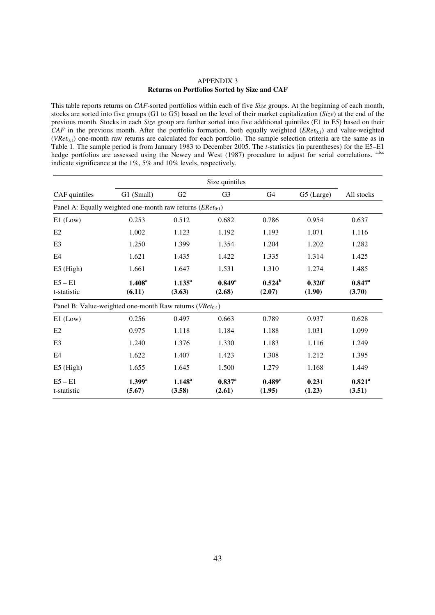#### APPENDIX 3 **Returns on Portfolios Sorted by Size and CAF**

This table reports returns on *CAF*-sorted portfolios within each of five *Size* groups. At the beginning of each month, stocks are sorted into five groups (G1 to G5) based on the level of their market capitalization (*Size*) at the end of the previous month. Stocks in each *Size* group are further sorted into five additional quintiles (E1 to E5) based on their *CAF* in the previous month. After the portfolio formation, both equally weighted (*ERet*<sub>0:1</sub>) and value-weighted (*VRet*<sub>0:1</sub>) one-month raw returns are calculated for each portfolio. The sample selection criteria are the same as in Table 1. The sample period is from January 1983 to December 2005. The *t*-statistics (in parentheses) for the E5–E1 hedge portfolios are assessed using the Newey and West (1987) procedure to adjust for serial correlations. a,b,c indicate significance at the 1%, 5% and 10% levels, respectively.

|                                                                | Size quintiles               |                       |                           |                              |                     |                           |
|----------------------------------------------------------------|------------------------------|-----------------------|---------------------------|------------------------------|---------------------|---------------------------|
| CAF quintiles                                                  | G1 (Small)                   | G2                    | G <sub>3</sub>            | G4                           | G5 (Large)          | All stocks                |
| Panel A: Equally weighted one-month raw returns $(ERet_{0:1})$ |                              |                       |                           |                              |                     |                           |
| $E1$ (Low)                                                     | 0.253                        | 0.512                 | 0.682                     | 0.786                        | 0.954               | 0.637                     |
| E <sub>2</sub>                                                 | 1.002                        | 1.123                 | 1.192                     | 1.193                        | 1.071               | 1.116                     |
| E <sub>3</sub>                                                 | 1.250                        | 1.399                 | 1.354                     | 1.204                        | 1.202               | 1.282                     |
| E4                                                             | 1.621                        | 1.435                 | 1.422                     | 1.335                        | 1.314               | 1.425                     |
| $E5$ (High)                                                    | 1.661                        | 1.647                 | 1.531                     | 1.310                        | 1.274               | 1.485                     |
| $E5 - E1$<br>t-statistic                                       | 1.408 <sup>a</sup><br>(6.11) | $1.135^{a}$<br>(3.63) | $0.849^{\rm a}$<br>(2.68) | $0.524^{\rm b}$<br>(2.07)    | $0.320$ c<br>(1.90) | $0.847^{\rm a}$<br>(3.70) |
| Panel B: Value-weighted one-month Raw returns ( $VRet_{0:1}$ ) |                              |                       |                           |                              |                     |                           |
|                                                                |                              |                       |                           |                              |                     |                           |
| $E1$ (Low)                                                     | 0.256                        | 0.497                 | 0.663                     | 0.789                        | 0.937               | 0.628                     |
| E <sub>2</sub>                                                 | 0.975                        | 1.118                 | 1.184                     | 1.188                        | 1.031               | 1.099                     |
| E3                                                             | 1.240                        | 1.376                 | 1.330                     | 1.183                        | 1.116               | 1.249                     |
| E <sub>4</sub>                                                 | 1.622                        | 1.407                 | 1.423                     | 1.308                        | 1.212               | 1.395                     |
| $E5$ (High)                                                    | 1.655                        | 1.645                 | 1.500                     | 1.279                        | 1.168               | 1.449                     |
| $E5 - E1$<br>t-statistic                                       | $1.399^{\rm a}$<br>(5.67)    | $1.148^{a}$<br>(3.58) | $0.837^{a}$<br>(2.61)     | 0.489 <sup>c</sup><br>(1.95) | 0.231<br>(1.23)     | $0.821^{\rm a}$<br>(3.51) |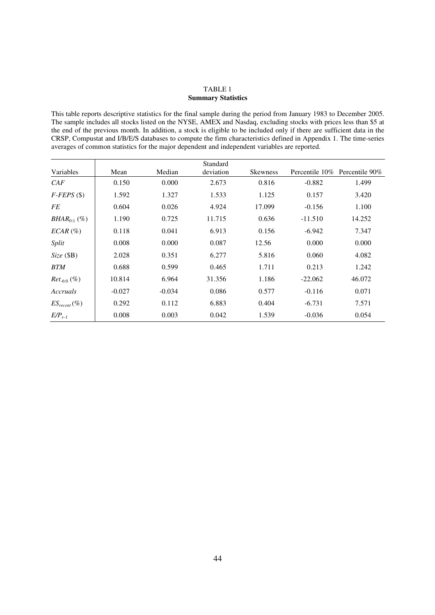#### TABLE 1 **Summary Statistics**

This table reports descriptive statistics for the final sample during the period from January 1983 to December 2005. The sample includes all stocks listed on the NYSE, AMEX and Nasdaq, excluding stocks with prices less than \$5 at the end of the previous month. In addition, a stock is eligible to be included only if there are sufficient data in the CRSP, Compustat and I/B/E/S databases to compute the firm characteristics defined in Appendix 1. The time-series averages of common statistics for the major dependent and independent variables are reported.

|                                   |          |          | Standard  |                 |           |                               |
|-----------------------------------|----------|----------|-----------|-----------------|-----------|-------------------------------|
| Variables                         | Mean     | Median   | deviation | <b>Skewness</b> |           | Percentile 10% Percentile 90% |
| CAF                               | 0.150    | 0.000    | 2.673     | 0.816           | $-0.882$  | 1.499                         |
| $F$ - $FEPS$ (\$)                 | 1.592    | 1.327    | 1.533     | 1.125           | 0.157     | 3.420                         |
| FE                                | 0.604    | 0.026    | 4.924     | 17.099          | $-0.156$  | 1.100                         |
| <i>BHAR</i> <sub>0:1</sub> $(\%)$ | 1.190    | 0.725    | 11.715    | 0.636           | $-11.510$ | 14.252                        |
| $ECAR \, (\%)$                    | 0.118    | 0.041    | 6.913     | 0.156           | $-6.942$  | 7.347                         |
| Split                             | 0.008    | 0.000    | 0.087     | 12.56           | 0.000     | 0.000                         |
| Size(SB)                          | 2.028    | 0.351    | 6.277     | 5.816           | 0.060     | 4.082                         |
| <b>BTM</b>                        | 0.688    | 0.599    | 0.465     | 1.711           | 0.213     | 1.242                         |
| $Ret_{-6:0}$ (%)                  | 10.814   | 6.964    | 31.356    | 1.186           | $-22.062$ | 46.072                        |
| Accruals                          | $-0.027$ | $-0.034$ | 0.086     | 0.577           | $-0.116$  | 0.071                         |
| $ES_{recent} (\%)$                | 0.292    | 0.112    | 6.883     | 0.404           | $-6.731$  | 7.571                         |
| $E/P_{t-1}$                       | 0.008    | 0.003    | 0.042     | 1.539           | $-0.036$  | 0.054                         |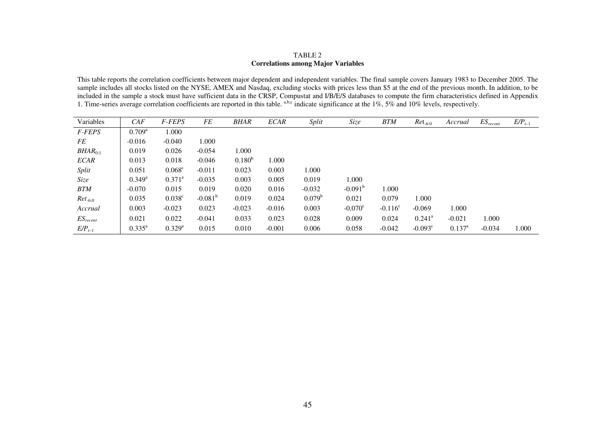# TABLE 2 **Correlations among Major Variables**

This table reports the correlation coefficients between major dependent and independent variables. The final sample covers January 1983 to December 2005. The sample includes all stocks listed on the NYSE, AMEX and Nasdaq, excluding stocks with prices less than \$5 at the end of the previous month. In addition, to be included in the sample a stock must have sufficient data in the CRSP, Compustat and *I/B/E/S* databases to compute the firm characteristics defined in Appendix 1. Time-series average correlation coefficients are reported i

| Variables     | CAF             | <b>F-FEPS</b>        | FE               | BHAR        | <b>ECAR</b> | Split           | Size             | <b>BTM</b> | $Ret_{-6:0}$     | Accrual         | $ES_{recent}$ | $E/P_{t-1}$ |
|---------------|-----------------|----------------------|------------------|-------------|-------------|-----------------|------------------|------------|------------------|-----------------|---------------|-------------|
| F-FEPS        | $0.709^{\rm a}$ | 1.000                |                  |             |             |                 |                  |            |                  |                 |               |             |
| FE            | $-0.016$        | $-0.040$             | 1.000            |             |             |                 |                  |            |                  |                 |               |             |
| $BHAR_{0:1}$  | 0.019           | 0.026                | $-0.054$         | 1.000       |             |                 |                  |            |                  |                 |               |             |
| <b>ECAR</b>   | 0.013           | 0.018                | $-0.046$         | $0.180^{b}$ | 1.000       |                 |                  |            |                  |                 |               |             |
| Split         | 0.051           | $0.068^{\circ}$      | $-0.011$         | 0.023       | 0.003       | 1.000           |                  |            |                  |                 |               |             |
| Size          | $0.349^{\rm a}$ | $0.371^{\rm a}$      | $-0.035$         | 0.003       | 0.005       | 0.019           | 1.000            |            |                  |                 |               |             |
| <b>BTM</b>    | $-0.070$        | 0.015                | 0.019            | 0.020       | 0.016       | $-0.032$        | $-0.091^{\rm b}$ | 1.000      |                  |                 |               |             |
| $Ret_{-6:0}$  | 0.035           | $0.038^{\circ}$      | $-0.081^{\rm b}$ | 0.019       | 0.024       | $0.079^{\rm b}$ | 0.021            | 0.079      | 1.000            |                 |               |             |
| Accrual       | 0.003           | $-0.023$             | 0.023            | $-0.023$    | $-0.016$    | 0.003           | $-0.070^{\circ}$ | $-0.116^c$ | $-0.069$         | 1.000           |               |             |
| $ES_{recent}$ | 0.021           | 0.022                | $-0.041$         | 0.033       | 0.023       | 0.028           | 0.009            | 0.024      | $0.241^{\circ}$  | $-0.021$        | 1.000         |             |
| $E/P_{t-1}$   | $0.335^{\rm a}$ | $0.329$ <sup>a</sup> | 0.015            | 0.010       | $-0.001$    | 0.006           | 0.058            | $-0.042$   | $-0.093^{\circ}$ | $0.137^{\rm a}$ | $-0.034$      | 1.000       |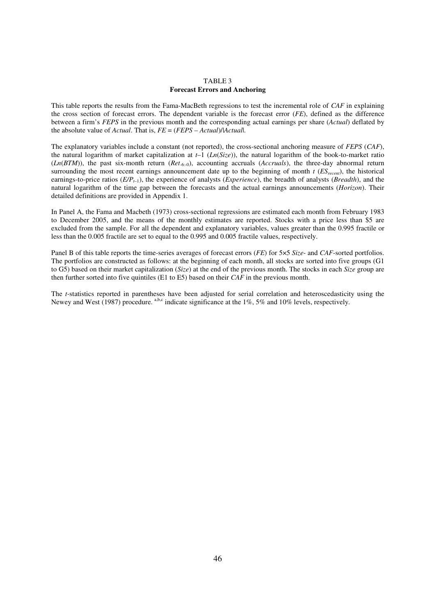#### TABLE 3 **Forecast Errors and Anchoring**

This table reports the results from the Fama-MacBeth regressions to test the incremental role of *CAF* in explaining the cross section of forecast errors. The dependent variable is the forecast error (*FE*), defined as the difference between a firm's *FEPS* in the previous month and the corresponding actual earnings per share (*Actual*) deflated by the absolute value of *Actual*. That is, *FE* = (*FEPS* – *Actual*)/|*Actual*|.

The explanatory variables include a constant (not reported), the cross-sectional anchoring measure of *FEPS* (*CAF*), the natural logarithm of market capitalization at *t*–1 (*Ln*(*Size*)), the natural logarithm of the book-to-market ratio (*Ln*(*BTM*)), the past six-month return (*Ret*-6:-0), accounting accruals (*Accruals*), the three-day abnormal return surrounding the most recent earnings announcement date up to the beginning of month *t* (*ESrecent*), the historical earnings-to-price ratios (*E/Pt*–1), the experience of analysts (*Experience*), the breadth of analysts (*Breadth*), and the natural logarithm of the time gap between the forecasts and the actual earnings announcements (*Horizon*). Their detailed definitions are provided in Appendix 1.

In Panel A, the Fama and Macbeth (1973) cross-sectional regressions are estimated each month from February 1983 to December 2005, and the means of the monthly estimates are reported. Stocks with a price less than \$5 are excluded from the sample. For all the dependent and explanatory variables, values greater than the 0.995 fractile or less than the 0.005 fractile are set to equal to the 0.995 and 0.005 fractile values, respectively.

Panel B of this table reports the time-series averages of forecast errors (*FE*) for 5×5 *Size*- and *CAF*-sorted portfolios. The portfolios are constructed as follows: at the beginning of each month, all stocks are sorted into five groups (G1 to G5) based on their market capitalization (*Size*) at the end of the previous month. The stocks in each *Size* group are then further sorted into five quintiles (E1 to E5) based on their *CAF* in the previous month.

The *t*-statistics reported in parentheses have been adjusted for serial correlation and heteroscedasticity using the Newey and West (1987) procedure. a,b,c indicate significance at the 1%, 5% and 10% levels, respectively.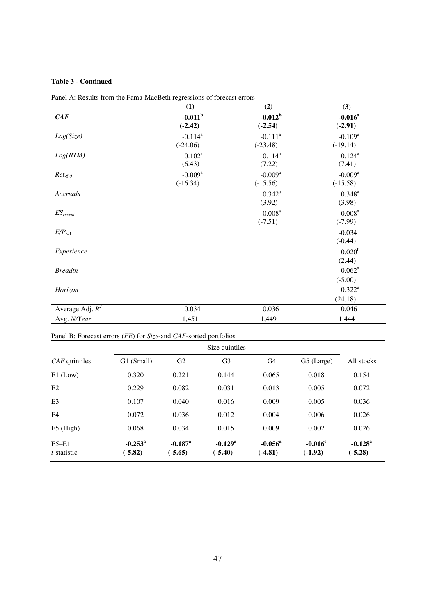# **Table 3 - Continued**

|                    | (1)                                 | (2)                                 | (3)                                 |
|--------------------|-------------------------------------|-------------------------------------|-------------------------------------|
| CAF                | $-0.011^b$<br>$(-2.42)$             | $-0.012^b$<br>$(-2.54)$             | $-0.016^a$<br>$(-2.91)$             |
| Log(Size)          | $-0.114^a$<br>$(-24.06)$            | $-0.111^a$<br>$(-23.48)$            | $-0.109$ <sup>a</sup><br>$(-19.14)$ |
| Log(BTM)           | $0.102^a$<br>(6.43)                 | $0.114^{a}$<br>(7.22)               | $0.124^{a}$<br>(7.41)               |
| $Ret_{-6,0}$       | $-0.009$ <sup>a</sup><br>$(-16.34)$ | $-0.009$ <sup>a</sup><br>$(-15.56)$ | $-0.009$ <sup>a</sup><br>$(-15.58)$ |
| Accruals           |                                     | $0.342^a$<br>(3.92)                 | $0.348^{a}$<br>(3.98)               |
| $ES_{recent}$      |                                     | $-0.008$ <sup>a</sup><br>$(-7.51)$  | $-0.008$ <sup>a</sup><br>$(-7.99)$  |
| $E/P_{t-1}$        |                                     |                                     | $-0.034$<br>$(-0.44)$               |
| Experience         |                                     |                                     | 0.020 <sup>b</sup><br>(2.44)        |
| <b>Breadth</b>     |                                     |                                     | $-0.062$ <sup>a</sup><br>$(-5.00)$  |
| Horizon            |                                     |                                     | $0.322^a$<br>(24.18)                |
| Average Adj. $R^2$ | 0.034                               | 0.036                               | 0.046                               |
| Avg. N/Year        | 1,451                               | 1,449                               | 1,444                               |

Panel A: Results from the Fama-MacBeth regressions of forecast errors

# Panel B: Forecast errors (*FE*) for *Size*-and *CAF*-sorted portfolios

|                                  | Size quintiles                |                                    |                                    |                               |                               |                                    |
|----------------------------------|-------------------------------|------------------------------------|------------------------------------|-------------------------------|-------------------------------|------------------------------------|
| $CAF$ quintiles                  | G1 (Small)                    | G <sub>2</sub>                     | G <sub>3</sub>                     | G4                            | G5 (Large)                    | All stocks                         |
| $E1$ (Low)                       | 0.320                         | 0.221                              | 0.144                              | 0.065                         | 0.018                         | 0.154                              |
| E2                               | 0.229                         | 0.082                              | 0.031                              | 0.013                         | 0.005                         | 0.072                              |
| E <sub>3</sub>                   | 0.107                         | 0.040                              | 0.016                              | 0.009                         | 0.005                         | 0.036                              |
| E4                               | 0.072                         | 0.036                              | 0.012                              | 0.004                         | 0.006                         | 0.026                              |
| $E5$ (High)                      | 0.068                         | 0.034                              | 0.015                              | 0.009                         | 0.002                         | 0.026                              |
| $E5 - E1$<br><i>t</i> -statistic | $-0.253^{\rm a}$<br>$(-5.82)$ | $-0.187$ <sup>a</sup><br>$(-5.65)$ | $-0.129$ <sup>a</sup><br>$(-5.40)$ | $-0.056^{\rm a}$<br>$(-4.81)$ | $-0.016^{\circ}$<br>$(-1.92)$ | $-0.128$ <sup>a</sup><br>$(-5.28)$ |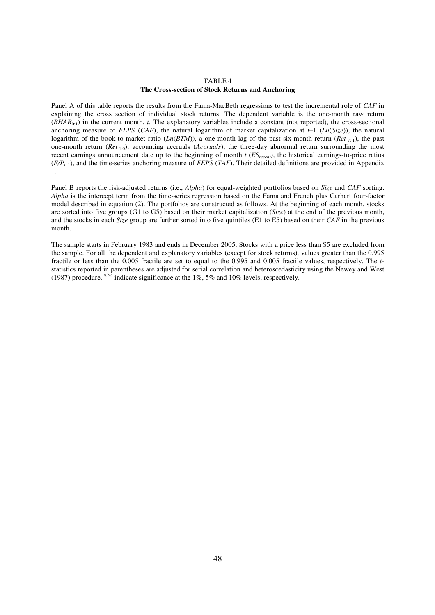#### TABLE 4 **The Cross-section of Stock Returns and Anchoring**

Panel A of this table reports the results from the Fama-MacBeth regressions to test the incremental role of *CAF* in explaining the cross section of individual stock returns. The dependent variable is the one-month raw return  $(BHAR_{0:1})$  in the current month, *t*. The explanatory variables include a constant (not reported), the cross-sectional anchoring measure of *FEPS* (*CAF*), the natural logarithm of market capitalization at  $t-1$  (*Ln*(*Size*)), the natural logarithm of the book-to-market ratio ( $Ln(BTM)$ ), a one-month lag of the past six-month return ( $Ret_{-7-1}$ ), the past one-month return (*Ret*-1:0), accounting accruals (*Accruals*), the three-day abnormal return surrounding the most recent earnings announcement date up to the beginning of month *t* (*ESrecent*), the historical earnings-to-price ratios (*E/Pt*–1), and the time-series anchoring measure of *FEPS* (*TAF*). Their detailed definitions are provided in Appendix 1.

Panel B reports the risk-adjusted returns (i.e., *Alpha*) for equal-weighted portfolios based on *Size* and *CAF* sorting. *Alpha* is the intercept term from the time-series regression based on the Fama and French plus Carhart four-factor model described in equation (2). The portfolios are constructed as follows. At the beginning of each month, stocks are sorted into five groups (G1 to G5) based on their market capitalization (*Size*) at the end of the previous month, and the stocks in each *Size* group are further sorted into five quintiles (E1 to E5) based on their *CAF* in the previous month.

The sample starts in February 1983 and ends in December 2005. Stocks with a price less than \$5 are excluded from the sample. For all the dependent and explanatory variables (except for stock returns), values greater than the 0.995 fractile or less than the 0.005 fractile are set to equal to the 0.995 and 0.005 fractile values, respectively. The *t*statistics reported in parentheses are adjusted for serial correlation and heteroscedasticity using the Newey and West (1987) procedure. a,b,c indicate significance at the 1%, 5% and 10% levels, respectively.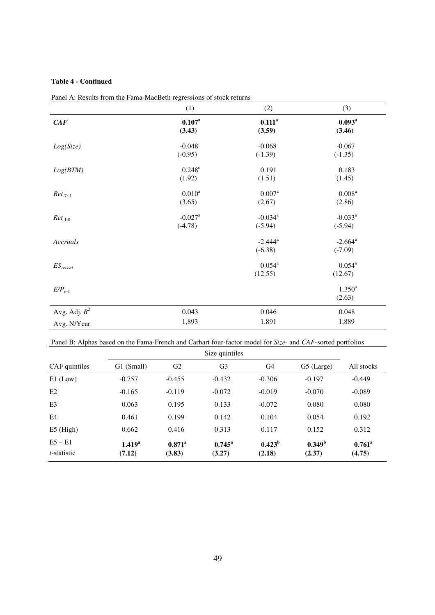# **Table 4 - Continued**

|                 | (1)                   | (2)                   | (3)                   |
|-----------------|-----------------------|-----------------------|-----------------------|
| CAF             | $0.107^{a}$           | $0.111^a$             | $0.093^a$             |
|                 | (3.43)                | (3.59)                | (3.46)                |
| Log(Size)       | $-0.048$              | $-0.068$              | $-0.067$              |
|                 | $(-0.95)$             | $(-1.39)$             | $(-1.35)$             |
| Log(BTM)        | $0.248^c$             | 0.191                 | 0.183                 |
|                 | (1.92)                | (1.51)                | (1.45)                |
| $Ret_{-7:-1}$   | $0.010^{a}$           | $0.007^{a}$           | $0.008^{a}$           |
|                 | (3.65)                | (2.67)                | (2.86)                |
| $Ret_{-1:0}$    | $-0.027$ <sup>a</sup> | $-0.034$ <sup>a</sup> | $-0.033$ <sup>a</sup> |
|                 | $(-4.78)$             | $(-5.94)$             | $(-5.94)$             |
| Accruals        |                       | $-2.444^a$            | $-2.664$ <sup>a</sup> |
|                 |                       | $(-6.38)$             | $(-7.09)$             |
| $ES_{recent}$   |                       | $0.054^{a}$           | $0.054^{a}$           |
|                 |                       | (12.55)               | (12.67)               |
| $E/P_{t-1}$     |                       |                       | $1.350^{a}$           |
|                 |                       |                       | (2.63)                |
| Avg. Adj. $R^2$ | 0.043                 | 0.046                 | 0.048                 |
| Avg. N/Year     | 1,893                 | 1,891                 | 1,889                 |

|  | Panel A: Results from the Fama-MacBeth regressions of stock returns |
|--|---------------------------------------------------------------------|
|  |                                                                     |

Panel B: Alphas based on the Fama-French and Carhart four-factor model for *Size*- and *CAF*-sorted portfolios

|                     | Size quintiles     |                 |                 |           |                    |                 |
|---------------------|--------------------|-----------------|-----------------|-----------|--------------------|-----------------|
| CAF quintiles       | G1 (Small)         | G <sub>2</sub>  | G <sub>3</sub>  | G4        | G5 (Large)         | All stocks      |
| $E1$ (Low)          | $-0.757$           | $-0.455$        | $-0.432$        | $-0.306$  | $-0.197$           | $-0.449$        |
| E2                  | $-0.165$           | $-0.119$        | $-0.072$        | $-0.019$  | $-0.070$           | $-0.089$        |
| E <sub>3</sub>      | 0.063              | 0.195           | 0.133           | $-0.072$  | 0.080              | 0.080           |
| E <sub>4</sub>      | 0.461              | 0.199           | 0.142           | 0.104     | 0.054              | 0.192           |
| $E5$ (High)         | 0.662              | 0.416           | 0.313           | 0.117     | 0.152              | 0.312           |
| $E5 - E1$           | 1.419 <sup>a</sup> | $0.871^{\rm a}$ | $0.745^{\rm a}$ | $0.423^b$ | 0.349 <sup>b</sup> | $0.761^{\rm a}$ |
| <i>t</i> -statistic | (7.12)             | (3.83)          | (3.27)          | (2.18)    | (2.37)             | (4.75)          |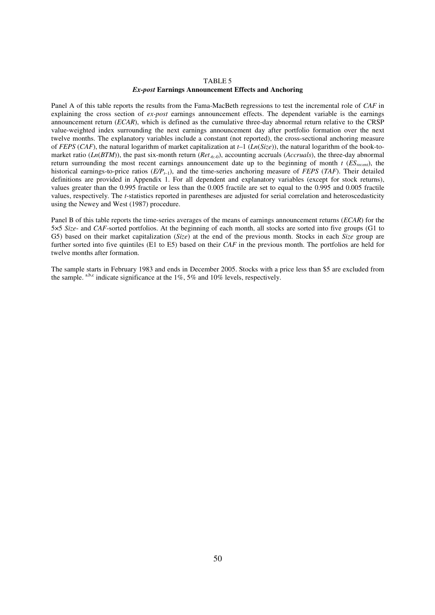#### TABLE 5 *Ex-post* **Earnings Announcement Effects and Anchoring**

Panel A of this table reports the results from the Fama-MacBeth regressions to test the incremental role of *CAF* in explaining the cross section of *ex-post* earnings announcement effects. The dependent variable is the earnings announcement return (*ECAR*), which is defined as the cumulative three-day abnormal return relative to the CRSP value-weighted index surrounding the next earnings announcement day after portfolio formation over the next twelve months. The explanatory variables include a constant (not reported), the cross-sectional anchoring measure of *FEPS* (*CAF*), the natural logarithm of market capitalization at *t*–1 (*Ln*(*Size*)), the natural logarithm of the book-tomarket ratio (*Ln*(*BTM*)), the past six-month return (*Ret*-6:-0), accounting accruals (*Accruals*), the three-day abnormal return surrounding the most recent earnings announcement date up to the beginning of month  $t$  ( $ES_{recent}$ ), the historical earnings-to-price ratios (*E/Pt*–1), and the time-series anchoring measure of *FEPS* (*TAF*). Their detailed definitions are provided in Appendix 1. For all dependent and explanatory variables (except for stock returns), values greater than the 0.995 fractile or less than the 0.005 fractile are set to equal to the 0.995 and 0.005 fractile values, respectively. The *t*-statistics reported in parentheses are adjusted for serial correlation and heteroscedasticity using the Newey and West (1987) procedure.

Panel B of this table reports the time-series averages of the means of earnings announcement returns (*ECAR*) for the 5×5 *Size*- and *CAF*-sorted portfolios. At the beginning of each month, all stocks are sorted into five groups (G1 to G5) based on their market capitalization (*Size*) at the end of the previous month. Stocks in each *Size* group are further sorted into five quintiles (E1 to E5) based on their *CAF* in the previous month. The portfolios are held for twelve months after formation.

The sample starts in February 1983 and ends in December 2005. Stocks with a price less than \$5 are excluded from the sample.  $a,b,c$  indicate significance at the 1%, 5% and 10% levels, respectively.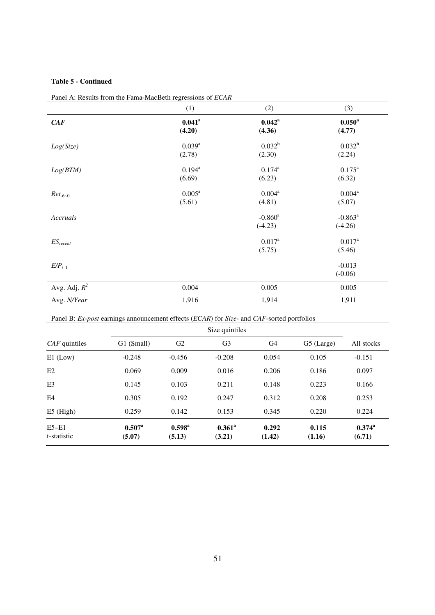# **Table 5 - Continued**

|                 | (1)                  | (2)                   | (3)             |
|-----------------|----------------------|-----------------------|-----------------|
| CAF             | $0.041$ <sup>a</sup> | $0.042^{\rm a}$       | $0.050^{\rm a}$ |
|                 | (4.20)               | (4.36)                | (4.77)          |
| Log(Size)       | $0.039^{a}$          | $0.032^{b}$           | $0.032^{b}$     |
|                 | (2.78)               | (2.30)                | (2.24)          |
| Log(BTM)        | $0.194^{a}$          | $0.174^{a}$           | $0.175^{\rm a}$ |
|                 | (6.69)               | (6.23)                | (6.32)          |
| $Ret_{-6:-0}$   | $0.005^a$            | $0.004^{a}$           | $0.004^a$       |
|                 | (5.61)               | (4.81)                | (5.07)          |
| Accruals        |                      | $-0.860$ <sup>a</sup> | $-0.863^a$      |
|                 |                      | $(-4.23)$             | $(-4.26)$       |
| $ES_{recent}$   |                      | $0.017^{a}$           | $0.017^{\rm a}$ |
|                 |                      | (5.75)                | (5.46)          |
| $E/P_{t-1}$     |                      |                       | $-0.013$        |
|                 |                      |                       | $(-0.06)$       |
| Avg. Adj. $R^2$ | 0.004                | 0.005                 | 0.005           |
| Avg. N/Year     | 1,916                | 1,914                 | 1,911           |

Panel A: Results from the Fama-MacBeth regressions of *ECAR*

Panel B: *Ex-post* earnings announcement effects (*ECAR*) for *Size*- and *CAF*-sorted portfolios

| $CAF$ quintiles          | G1 (Small)                | G <sub>2</sub>            | G <sub>3</sub>      | G4              | G5 (Large)      | All stocks                |
|--------------------------|---------------------------|---------------------------|---------------------|-----------------|-----------------|---------------------------|
| $E1$ (Low)               | $-0.248$                  | $-0.456$                  | $-0.208$            | 0.054           | 0.105           | $-0.151$                  |
| E2                       | 0.069                     | 0.009                     | 0.016               | 0.206           | 0.186           | 0.097                     |
| E <sub>3</sub>           | 0.145                     | 0.103                     | 0.211               | 0.148           | 0.223           | 0.166                     |
| E4                       | 0.305                     | 0.192                     | 0.247               | 0.312           | 0.208           | 0.253                     |
| $E5$ (High)              | 0.259                     | 0.142                     | 0.153               | 0.345           | 0.220           | 0.224                     |
| $E5 - E1$<br>t-statistic | $0.507^{\rm a}$<br>(5.07) | $0.598^{\rm a}$<br>(5.13) | $0.361^a$<br>(3.21) | 0.292<br>(1.42) | 0.115<br>(1.16) | $0.374^{\rm a}$<br>(6.71) |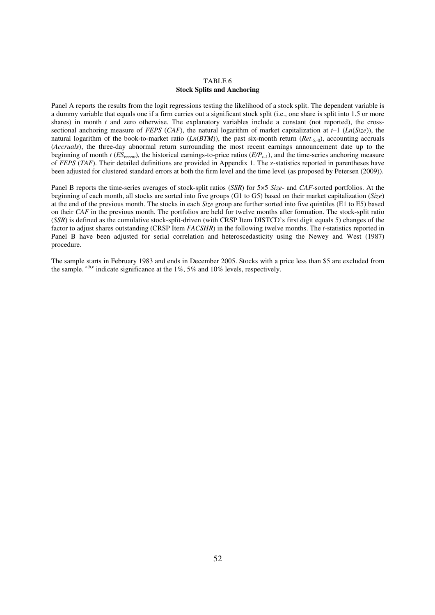#### TABLE 6 **Stock Splits and Anchoring**

Panel A reports the results from the logit regressions testing the likelihood of a stock split. The dependent variable is a dummy variable that equals one if a firm carries out a significant stock split (i.e., one share is split into 1.5 or more shares) in month *t* and zero otherwise. The explanatory variables include a constant (not reported), the crosssectional anchoring measure of *FEPS* (*CAF*), the natural logarithm of market capitalization at *t*–1 (*Ln*(*Size*)), the natural logarithm of the book-to-market ratio  $(Ln(BTM))$ , the past six-month return  $(Ret<sub>-6</sub>:0)$ , accounting accruals (*Accruals*), the three-day abnormal return surrounding the most recent earnings announcement date up to the beginning of month  $t$  ( $ES_{recent}$ ), the historical earnings-to-price ratios ( $E/P_{t-1}$ ), and the time-series anchoring measure of *FEPS* (*TAF*). Their detailed definitions are provided in Appendix 1. The z-statistics reported in parentheses have been adjusted for clustered standard errors at both the firm level and the time level (as proposed by Petersen (2009)).

Panel B reports the time-series averages of stock-split ratios (*SSR*) for 5×5 *Size*- and *CAF*-sorted portfolios. At the beginning of each month, all stocks are sorted into five groups (G1 to G5) based on their market capitalization (*Size*) at the end of the previous month. The stocks in each *Size* group are further sorted into five quintiles (E1 to E5) based on their *CAF* in the previous month. The portfolios are held for twelve months after formation. The stock-split ratio (*SSR*) is defined as the cumulative stock-split-driven (with CRSP Item DISTCD's first digit equals 5) changes of the factor to adjust shares outstanding (CRSP Item *FACSHR*) in the following twelve months. The *t*-statistics reported in Panel B have been adjusted for serial correlation and heteroscedasticity using the Newey and West (1987) procedure.

The sample starts in February 1983 and ends in December 2005. Stocks with a price less than \$5 are excluded from the sample.  $a,b,c$  indicate significance at the 1%, 5% and 10% levels, respectively.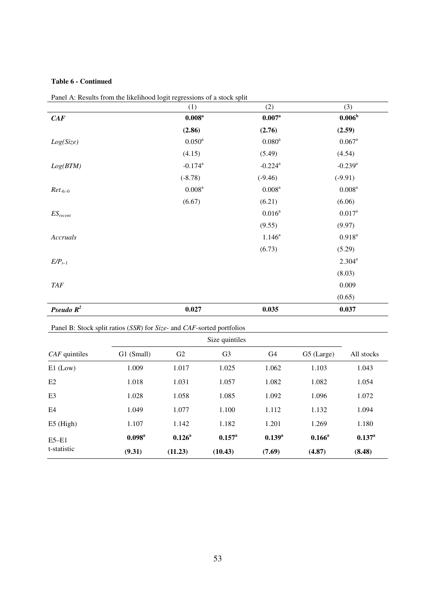# **Table 6 - Continued**

|               | (1)                           | (2)                   | (3)                   |
|---------------|-------------------------------|-----------------------|-----------------------|
| CAF           | $0.008^{\rm a}$               | $0.007^{\rm a}$       | $0.006^{\rm b}$       |
|               | (2.86)                        | (2.76)                | (2.59)                |
| Log(Size)     | $0.050\ensuremath{^\text{a}}$ | $0.080^\mathrm{a}$    | $0.067$ <sup>a</sup>  |
|               | (4.15)                        | (5.49)                | (4.54)                |
| Log(BTM)      | $-0.174$ <sup>a</sup>         | $-0.224$ <sup>a</sup> | $-0.239$ <sup>a</sup> |
|               | $(-8.78)$                     | $(-9.46)$             | $(-9.91)$             |
| $Ret_{-6:-0}$ | $0.008^{\rm a}$               | $0.008^{a}$           | $0.008^{\rm a}$       |
|               | (6.67)                        | (6.21)                | (6.06)                |
| $ES_{recent}$ |                               | $0.016^{a}$           | $0.017^{a}$           |
|               |                               | (9.55)                | (9.97)                |
| Accruals      |                               | $1.146^a$             | $0.918^{a}$           |
|               |                               | (6.73)                | (5.29)                |
| $E/P_{t-1}$   |                               |                       | $2.304^{a}$           |
|               |                               |                       | (8.03)                |
| <b>TAF</b>    |                               |                       | 0.009                 |
|               |                               |                       | (0.65)                |
| Pseudo $R^2$  | 0.027                         | 0.035                 | 0.037                 |

Panel A: Results from the likelihood logit regressions of a stock split

Panel B: Stock split ratios (*SSR*) for *Size*- and *CAF*-sorted portfolios

| $CAF$ quintiles        | G1 (Small)      | G2              | G <sub>3</sub>  | G4          | G5 (Large) | All stocks  |
|------------------------|-----------------|-----------------|-----------------|-------------|------------|-------------|
| $E1$ (Low)             | 1.009           | 1.017           | 1.025           | 1.062       | 1.103      | 1.043       |
| E2                     | 1.018           | 1.031           | 1.057           | 1.082       | 1.082      | 1.054       |
| E <sub>3</sub>         | 1.028           | 1.058           | 1.085           | 1.092       | 1.096      | 1.072       |
| E4                     | 1.049           | 1.077           | 1.100           | 1.112       | 1.132      | 1.094       |
| $E5$ (High)            | 1.107           | 1.142           | 1.182           | 1.201       | 1.269      | 1.180       |
| $E5-E1$<br>t-statistic | $0.098^{\rm a}$ | $0.126^{\rm a}$ | $0.157^{\rm a}$ | $0.139^{a}$ | $0.166^a$  | $0.137^{a}$ |
|                        | (9.31)          | (11.23)         | (10.43)         | (7.69)      | (4.87)     | (8.48)      |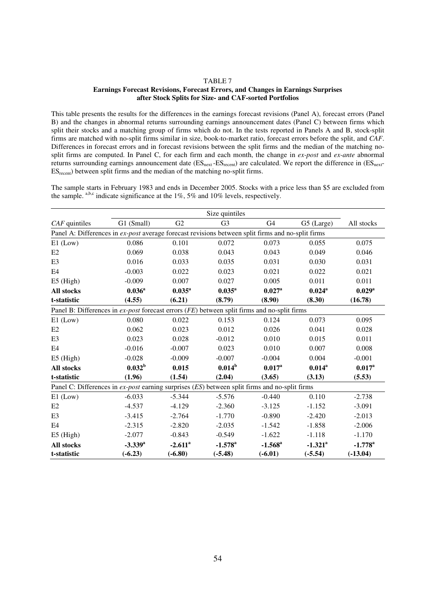#### TABLE 7

#### **Earnings Forecast Revisions, Forecast Errors, and Changes in Earnings Surprises after Stock Splits for Size- and CAF-sorted Portfolios**

This table presents the results for the differences in the earnings forecast revisions (Panel A), forecast errors (Panel B) and the changes in abnormal returns surrounding earnings announcement dates (Panel C) between firms which split their stocks and a matching group of firms which do not. In the tests reported in Panels A and B, stock-split firms are matched with no-split firms similar in size, book-to-market ratio, forecast errors before the split, and *CAF*. Differences in forecast errors and in forecast revisions between the split firms and the median of the matching nosplit firms are computed. In Panel C, for each firm and each month, the change in *ex-post* and *ex-ante* abnormal returns surrounding earnings announcement date  $(ES_{next} - ES_{recent})$  are calculated. We report the difference in  $(ES_{next} - ES_{next})$ ESrecent) between split firms and the median of the matching no-split firms.

The sample starts in February 1983 and ends in December 2005. Stocks with a price less than \$5 are excluded from the sample.  $a,b,c$  indicate significance at the 1%, 5% and 10% levels, respectively.

|                                                                                                   |                 |                       | Size quintiles   |                  |                       |                       |  |
|---------------------------------------------------------------------------------------------------|-----------------|-----------------------|------------------|------------------|-----------------------|-----------------------|--|
| $CAF$ quintiles                                                                                   | G1 (Small)      | G <sub>2</sub>        | G <sub>3</sub>   | G <sub>4</sub>   | G5 (Large)            | All stocks            |  |
| Panel A: Differences in ex-post average forecast revisions between split firms and no-split firms |                 |                       |                  |                  |                       |                       |  |
| $E1$ (Low)                                                                                        | 0.086           | 0.101                 | 0.072            | 0.073            | 0.055                 | 0.075                 |  |
| E2                                                                                                | 0.069           | 0.038                 | 0.043            | 0.043            | 0.049                 | 0.046                 |  |
| E <sub>3</sub>                                                                                    | 0.016           | 0.033                 | 0.035            | 0.031            | 0.030                 | 0.031                 |  |
| E <sub>4</sub>                                                                                    | $-0.003$        | 0.022                 | 0.023            | 0.021            | 0.022                 | 0.021                 |  |
| $E5$ (High)                                                                                       | $-0.009$        | 0.007                 | 0.027            | 0.005            | 0.011                 | 0.011                 |  |
| All stocks                                                                                        | $0.036^{\rm a}$ | $0.035^{\rm a}$       | $0.035^{\rm a}$  | $0.027^{\rm a}$  | $0.024^{\rm a}$       | $0.029^{\rm a}$       |  |
| t-statistic                                                                                       | (4.55)          | (6.21)                | (8.79)           | (8.90)           | (8.30)                | (16.78)               |  |
| Panel B: Differences in ex-post forecast errors (FE) between split firms and no-split firms       |                 |                       |                  |                  |                       |                       |  |
| $E1$ (Low)                                                                                        | 0.080           | 0.022                 | 0.153            | 0.124            | 0.073                 | 0.095                 |  |
| E2                                                                                                | 0.062           | 0.023                 | 0.012            | 0.026            | 0.041                 | 0.028                 |  |
| E <sub>3</sub>                                                                                    | 0.023           | 0.028                 | $-0.012$         | 0.010            | 0.015                 | 0.011                 |  |
| E <sub>4</sub>                                                                                    | $-0.016$        | $-0.007$              | 0.023            | 0.010            | 0.007                 | 0.008                 |  |
| $E5$ (High)                                                                                       | $-0.028$        | $-0.009$              | $-0.007$         | $-0.004$         | 0.004                 | $-0.001$              |  |
| All stocks                                                                                        | $0.032^{\rm b}$ | 0.015                 | $0.014^b$        | $0.017^{\rm a}$  | $0.014^a$             | $0.017^{\rm a}$       |  |
| t-statistic                                                                                       | (1.96)          | (1.54)                | (2.04)           | (3.65)           | (3.13)                | (5.53)                |  |
| Panel C: Differences in ex-post earning surprises (ES) between split firms and no-split firms     |                 |                       |                  |                  |                       |                       |  |
| $E1$ (Low)                                                                                        | $-6.033$        | $-5.344$              | $-5.576$         | $-0.440$         | 0.110                 | $-2.738$              |  |
| E2                                                                                                | $-4.537$        | $-4.129$              | $-2.360$         | $-3.125$         | $-1.152$              | $-3.091$              |  |
| E <sub>3</sub>                                                                                    | $-3.415$        | $-2.764$              | $-1.770$         | $-0.890$         | $-2.420$              | $-2.013$              |  |
| E <sub>4</sub>                                                                                    | $-2.315$        | $-2.820$              | $-2.035$         | $-1.542$         | $-1.858$              | $-2.006$              |  |
| $E5$ (High)                                                                                       | $-2.077$        | $-0.843$              | $-0.549$         | $-1.622$         | $-1.118$              | $-1.170$              |  |
| All stocks                                                                                        | $-3.339^{a}$    | $-2.611$ <sup>a</sup> | $-1.578^{\rm a}$ | $-1.568^{\rm a}$ | $-1.321$ <sup>a</sup> | $-1.778$ <sup>a</sup> |  |
| t-statistic                                                                                       | $(-6.23)$       | $(-6.80)$             | $(-5.48)$        | $(-6.01)$        | $(-5.54)$             | $(-13.04)$            |  |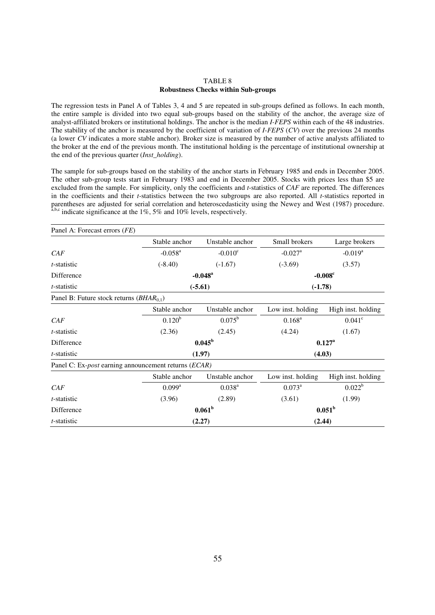#### TABLE 8 **Robustness Checks within Sub-groups**

The regression tests in Panel A of Tables 3, 4 and 5 are repeated in sub-groups defined as follows. In each month, the entire sample is divided into two equal sub-groups based on the stability of the anchor, the average size of analyst-affiliated brokers or institutional holdings. The anchor is the median *I-FEPS* within each of the 48 industries. The stability of the anchor is measured by the coefficient of variation of *I-FEPS* (*CV*) over the previous 24 months (a lower *CV* indicates a more stable anchor). Broker size is measured by the number of active analysts affiliated to the broker at the end of the previous month. The institutional holding is the percentage of institutional ownership at the end of the previous quarter (*Inst\_holding*).

The sample for sub-groups based on the stability of the anchor starts in February 1985 and ends in December 2005. The other sub-group tests start in February 1983 and end in December 2005. Stocks with prices less than \$5 are excluded from the sample. For simplicity, only the coefficients and *t*-statistics of *CAF* are reported. The differences in the coefficients and their *t*-statistics between the two subgroups are also reported. All *t*-statistics reported in parentheses are adjusted for serial correlation and heteroscedasticity using the Newey and West (1987) procedure.  $a,b,c$  indicate significance at the 1%, 5% and 10% levels, respectively.

| Panel A: Forecast errors (FE)                                |                                    |                       |                       |                       |  |  |
|--------------------------------------------------------------|------------------------------------|-----------------------|-----------------------|-----------------------|--|--|
|                                                              | Stable anchor                      | Unstable anchor       | Small brokers         | Large brokers         |  |  |
| CAF                                                          | $-0.058$ <sup>a</sup>              | $-0.010^{\circ}$      | $-0.027$ <sup>a</sup> | $-0.019$ <sup>a</sup> |  |  |
| <i>t</i> -statistic                                          | $(-8.40)$                          | $(-1.67)$             | $(-3.69)$             | (3.57)                |  |  |
| Difference                                                   |                                    | $-0.048$ <sup>a</sup> | $-0.008^{\circ}$      |                       |  |  |
| <i>t</i> -statistic                                          |                                    | $(-5.61)$             | $(-1.78)$             |                       |  |  |
| Panel B: Future stock returns $(BHAR_{0,1})$                 |                                    |                       |                       |                       |  |  |
|                                                              | Stable anchor                      | Unstable anchor       | Low inst. holding     | High inst. holding    |  |  |
| CAF                                                          | $0.120^{b}$                        | $0.075^{\rm b}$       | $0.168^{a}$           | $0.041$ <sup>c</sup>  |  |  |
| <i>t</i> -statistic                                          | (2.36)                             | (2.45)                | (4.24)                | (1.67)                |  |  |
| Difference                                                   | $0.045^{\rm b}$<br>$0.127^{\rm a}$ |                       |                       |                       |  |  |
| t-statistic                                                  |                                    | (1.97)                | (4.03)                |                       |  |  |
| Panel C: Ex- <i>post</i> earning announcement returns (ECAR) |                                    |                       |                       |                       |  |  |
|                                                              | Stable anchor                      | Unstable anchor       | Low inst. holding     | High inst. holding    |  |  |
| CAF                                                          | $0.099^{\rm a}$                    | $0.038^{a}$           | $0.073^a$             | $0.022^b$             |  |  |
| <i>t</i> -statistic                                          | (3.96)                             | (2.89)                | (3.61)                | (1.99)                |  |  |
| Difference                                                   |                                    | 0.061 <sup>b</sup>    | $0.051^{\rm b}$       |                       |  |  |
| <i>t</i> -statistic                                          |                                    | (2.27)                | (2.44)                |                       |  |  |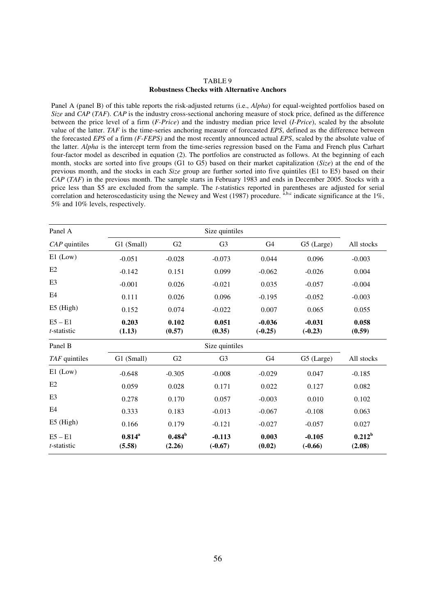#### TABLE 9 **Robustness Checks with Alternative Anchors**

Panel A (panel B) of this table reports the risk-adjusted returns (i.e., *Alpha*) for equal-weighted portfolios based on *Size* and *CAP* (*TAF*). *CAP* is the industry cross-sectional anchoring measure of stock price, defined as the difference between the price level of a firm (*F-Price*) and the industry median price level (*I-Price*), scaled by the absolute value of the latter. *TAF* is the time-series anchoring measure of forecasted *EPS*, defined as the difference between the forecasted *EPS* of a firm *(F-FEPS)* and the most recently announced actual *EPS*, scaled by the absolute value of the latter. *Alpha* is the intercept term from the time-series regression based on the Fama and French plus Carhart four-factor model as described in equation (2). The portfolios are constructed as follows. At the beginning of each month, stocks are sorted into five groups (G1 to G5) based on their market capitalization (*Size*) at the end of the previous month, and the stocks in each *Size* group are further sorted into five quintiles (E1 to E5) based on their *CAP* (*TAF*) in the previous month. The sample starts in February 1983 and ends in December 2005. Stocks with a price less than \$5 are excluded from the sample. The *t*-statistics reported in parentheses are adjusted for serial correlation and heteroscedasticity using the Newey and West (1987) procedure.  $\hat{a}$ ,b,c indicate significance at the 1%, 5% and 10% levels, respectively.

| Panel A                  |                     |                     | Size quintiles        |                       |                       |                     |
|--------------------------|---------------------|---------------------|-----------------------|-----------------------|-----------------------|---------------------|
| $CAP$ quintiles          | G1 (Small)          | G2                  | G <sub>3</sub>        | G <sub>4</sub>        | G5 (Large)            | All stocks          |
| $E1$ (Low)               | $-0.051$            | $-0.028$            | $-0.073$              | 0.044                 | 0.096                 | $-0.003$            |
| E2                       | $-0.142$            | 0.151               | 0.099                 | $-0.062$              | $-0.026$              | 0.004               |
| E <sub>3</sub>           | $-0.001$            | 0.026               | $-0.021$              | 0.035                 | $-0.057$              | $-0.004$            |
| E <sub>4</sub>           | 0.111               | 0.026               | 0.096                 | $-0.195$              | $-0.052$              | $-0.003$            |
| $E5$ (High)              | 0.152               | 0.074               | $-0.022$              | 0.007                 | 0.065                 | 0.055               |
| $E5 - E1$<br>t-statistic | 0.203<br>(1.13)     | 0.102<br>(0.57)     | 0.051<br>(0.35)       | $-0.036$<br>$(-0.25)$ | $-0.031$<br>$(-0.23)$ | 0.058<br>(0.59)     |
| Panel B                  |                     |                     | Size quintiles        |                       |                       |                     |
| $TAF$ quintiles          | G1 (Small)          | G2                  | G <sub>3</sub>        | G4                    | G5 (Large)            | All stocks          |
| $E1$ (Low)               | $-0.648$            | $-0.305$            | $-0.008$              | $-0.029$              | 0.047                 | $-0.185$            |
| E2                       | 0.059               | 0.028               | 0.171                 | 0.022                 | 0.127                 | 0.082               |
| E <sub>3</sub>           | 0.278               | 0.170               | 0.057                 | $-0.003$              | 0.010                 | 0.102               |
| E <sub>4</sub>           | 0.333               | 0.183               | $-0.013$              | $-0.067$              | $-0.108$              | 0.063               |
| $E5$ (High)              | 0.166               | 0.179               | $-0.121$              | $-0.027$              | $-0.057$              | 0.027               |
| $E5 - E1$<br>t-statistic | $0.814^a$<br>(5.58) | $0.484^b$<br>(2.26) | $-0.113$<br>$(-0.67)$ | 0.003<br>(0.02)       | $-0.105$<br>$(-0.66)$ | $0.212^b$<br>(2.08) |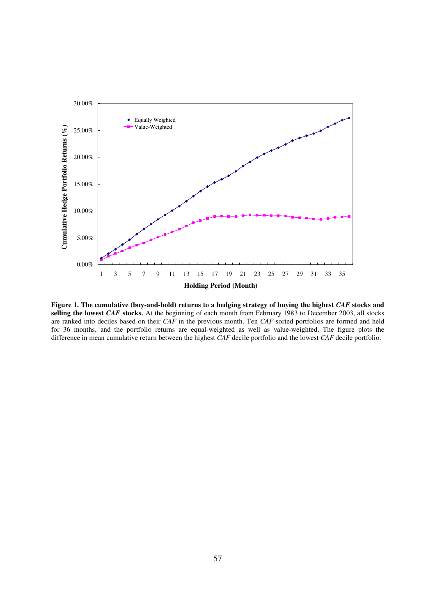

**Figure 1. The cumulative (buy-and-hold) returns to a hedging strategy of buying the highest** *CAF* **stocks and selling the lowest** *CAF* **stocks.** At the beginning of each month from February 1983 to December 2003, all stocks are ranked into deciles based on their *CAF* in the previous month. Ten *CAF-*sorted portfolios are formed and held for 36 months, and the portfolio returns are equal-weighted as well as value-weighted. The figure plots the difference in mean cumulative return between the highest *CAF* decile portfolio and the lowest *CAF* decile portfolio.